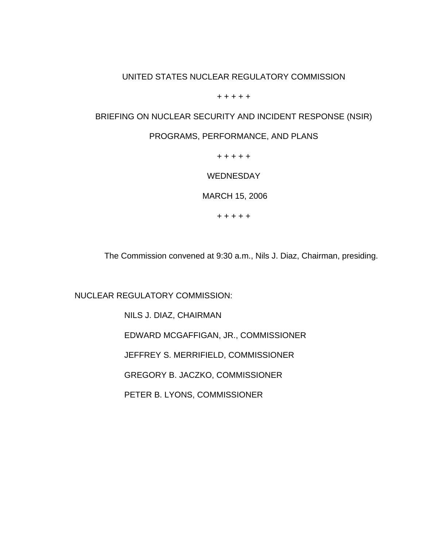## UNITED STATES NUCLEAR REGULATORY COMMISSION

 $+ + + + +$ 

## BRIEFING ON NUCLEAR SECURITY AND INCIDENT RESPONSE (NSIR)

## PROGRAMS, PERFORMANCE, AND PLANS

+ + + + +

**WEDNESDAY** 

MARCH 15, 2006

+ + + + +

The Commission convened at 9:30 a.m., Nils J. Diaz, Chairman, presiding.

NUCLEAR REGULATORY COMMISSION:

NILS J. DIAZ, CHAIRMAN

EDWARD MCGAFFIGAN, JR., COMMISSIONER

JEFFREY S. MERRIFIELD, COMMISSIONER

GREGORY B. JACZKO, COMMISSIONER

PETER B. LYONS, COMMISSIONER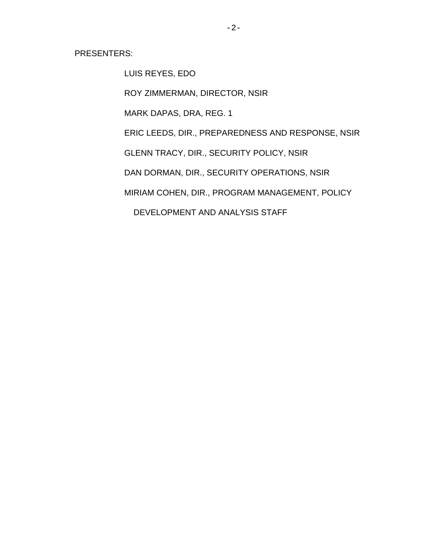PRESENTERS:

LUIS REYES, EDO

ROY ZIMMERMAN, DIRECTOR, NSIR

MARK DAPAS, DRA, REG. 1

ERIC LEEDS, DIR., PREPAREDNESS AND RESPONSE, NSIR

GLENN TRACY, DIR., SECURITY POLICY, NSIR

DAN DORMAN, DIR., SECURITY OPERATIONS, NSIR

MIRIAM COHEN, DIR., PROGRAM MANAGEMENT, POLICY

DEVELOPMENT AND ANALYSIS STAFF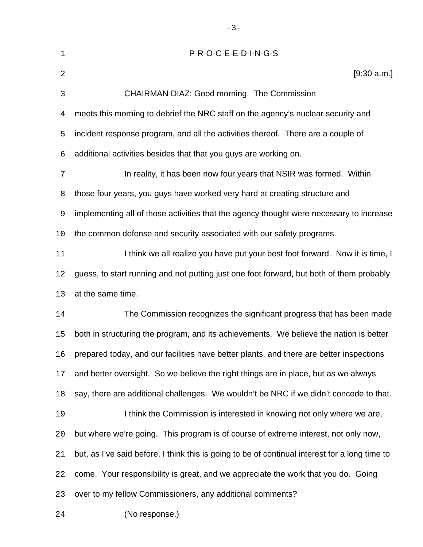| $\mathbf 1$    | P-R-O-C-E-E-D-I-N-G-S                                                                          |
|----------------|------------------------------------------------------------------------------------------------|
| $\overline{2}$ | [9:30 a.m.]                                                                                    |
| $\mathbf{3}$   | CHAIRMAN DIAZ: Good morning. The Commission                                                    |
| $\overline{4}$ | meets this morning to debrief the NRC staff on the agency's nuclear security and               |
| 5              | incident response program, and all the activities thereof. There are a couple of               |
| 6              | additional activities besides that that you guys are working on.                               |
| 7              | In reality, it has been now four years that NSIR was formed. Within                            |
| 8              | those four years, you guys have worked very hard at creating structure and                     |
| 9              | implementing all of those activities that the agency thought were necessary to increase        |
| 10             | the common defense and security associated with our safety programs.                           |
| 11             | I think we all realize you have put your best foot forward. Now it is time, I                  |
| 12             | guess, to start running and not putting just one foot forward, but both of them probably       |
| 13             | at the same time.                                                                              |
| 14             | The Commission recognizes the significant progress that has been made                          |
| 15             | both in structuring the program, and its achievements. We believe the nation is better         |
| 16             | prepared today, and our facilities have better plants, and there are better inspections        |
| 17             | and better oversight. So we believe the right things are in place, but as we always            |
| 18             | say, there are additional challenges. We wouldn't be NRC if we didn't concede to that.         |
| 19             | I think the Commission is interested in knowing not only where we are,                         |
| 20             | but where we're going. This program is of course of extreme interest, not only now,            |
| 21             | but, as I've said before, I think this is going to be of continual interest for a long time to |
| 22             | come. Your responsibility is great, and we appreciate the work that you do. Going              |
| 23             | over to my fellow Commissioners, any additional comments?                                      |
| 24             | (No response.)                                                                                 |

-3-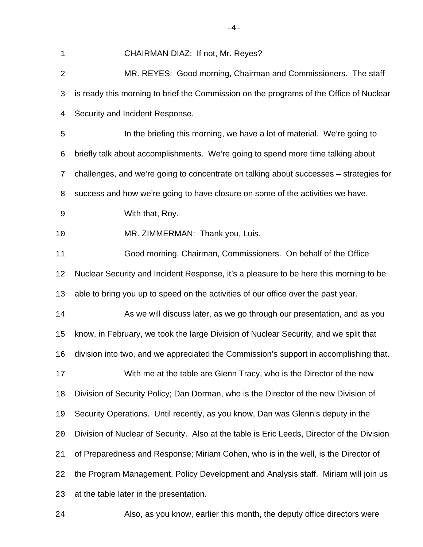| 1           | CHAIRMAN DIAZ: If not, Mr. Reyes?                                                          |
|-------------|--------------------------------------------------------------------------------------------|
| 2           | MR. REYES: Good morning, Chairman and Commissioners. The staff                             |
| 3           | is ready this morning to brief the Commission on the programs of the Office of Nuclear     |
| 4           | Security and Incident Response.                                                            |
| 5           | In the briefing this morning, we have a lot of material. We're going to                    |
| 6           | briefly talk about accomplishments. We're going to spend more time talking about           |
| 7           | challenges, and we're going to concentrate on talking about successes – strategies for     |
| 8           | success and how we're going to have closure on some of the activities we have.             |
| $\mathsf 9$ | With that, Roy.                                                                            |
| 10          | MR. ZIMMERMAN: Thank you, Luis.                                                            |
| 11          | Good morning, Chairman, Commissioners. On behalf of the Office                             |
| 12          | Nuclear Security and Incident Response, it's a pleasure to be here this morning to be      |
| 13          | able to bring you up to speed on the activities of our office over the past year.          |
| 14          | As we will discuss later, as we go through our presentation, and as you                    |
| 15          | know, in February, we took the large Division of Nuclear Security, and we split that       |
| 16          | division into two, and we appreciated the Commission's support in accomplishing that.      |
| 17          | With me at the table are Glenn Tracy, who is the Director of the new                       |
| 18          | Division of Security Policy; Dan Dorman, who is the Director of the new Division of        |
| 19          | Security Operations. Until recently, as you know, Dan was Glenn's deputy in the            |
| 20          | Division of Nuclear of Security. Also at the table is Eric Leeds, Director of the Division |
| 21          | of Preparedness and Response; Miriam Cohen, who is in the well, is the Director of         |
| 22          | the Program Management, Policy Development and Analysis staff. Miriam will join us         |
| 23          | at the table later in the presentation.                                                    |
| 24          | Also, as you know, earlier this month, the deputy office directors were                    |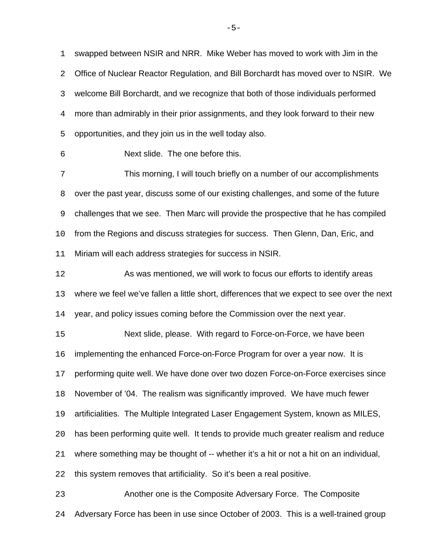swapped between NSIR and NRR. Mike Weber has moved to work with Jim in the Office of Nuclear Reactor Regulation, and Bill Borchardt has moved over to NSIR. We welcome Bill Borchardt, and we recognize that both of those individuals performed more than admirably in their prior assignments, and they look forward to their new opportunities, and they join us in the well today also.

Next slide. The one before this.

 This morning, I will touch briefly on a number of our accomplishments over the past year, discuss some of our existing challenges, and some of the future challenges that we see. Then Marc will provide the prospective that he has compiled from the Regions and discuss strategies for success. Then Glenn, Dan, Eric, and Miriam will each address strategies for success in NSIR.

 As was mentioned, we will work to focus our efforts to identify areas where we feel we've fallen a little short, differences that we expect to see over the next year, and policy issues coming before the Commission over the next year.

 Next slide, please. With regard to Force-on-Force, we have been implementing the enhanced Force-on-Force Program for over a year now. It is performing quite well. We have done over two dozen Force-on-Force exercises since November of '04. The realism was significantly improved. We have much fewer artificialities. The Multiple Integrated Laser Engagement System, known as MILES, has been performing quite well. It tends to provide much greater realism and reduce where something may be thought of -- whether it's a hit or not a hit on an individual, this system removes that artificiality. So it's been a real positive.

 Another one is the Composite Adversary Force. The Composite Adversary Force has been in use since October of 2003. This is a well-trained group

 $-5-$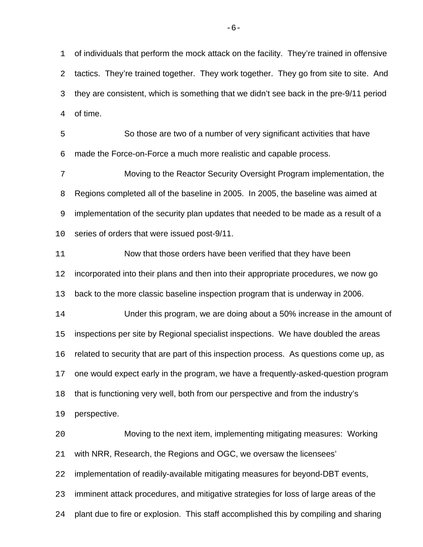of individuals that perform the mock attack on the facility. They're trained in offensive tactics. They're trained together. They work together. They go from site to site. And they are consistent, which is something that we didn't see back in the pre-9/11 period of time.

 So those are two of a number of very significant activities that have made the Force-on-Force a much more realistic and capable process.

 Moving to the Reactor Security Oversight Program implementation, the Regions completed all of the baseline in 2005. In 2005, the baseline was aimed at implementation of the security plan updates that needed to be made as a result of a series of orders that were issued post-9/11.

Now that those orders have been verified that they have been

incorporated into their plans and then into their appropriate procedures, we now go

back to the more classic baseline inspection program that is underway in 2006.

 Under this program, we are doing about a 50% increase in the amount of inspections per site by Regional specialist inspections. We have doubled the areas related to security that are part of this inspection process. As questions come up, as one would expect early in the program, we have a frequently-asked-question program that is functioning very well, both from our perspective and from the industry's

perspective.

 Moving to the next item, implementing mitigating measures: Working with NRR, Research, the Regions and OGC, we oversaw the licensees' implementation of readily-available mitigating measures for beyond-DBT events, imminent attack procedures, and mitigative strategies for loss of large areas of the

plant due to fire or explosion. This staff accomplished this by compiling and sharing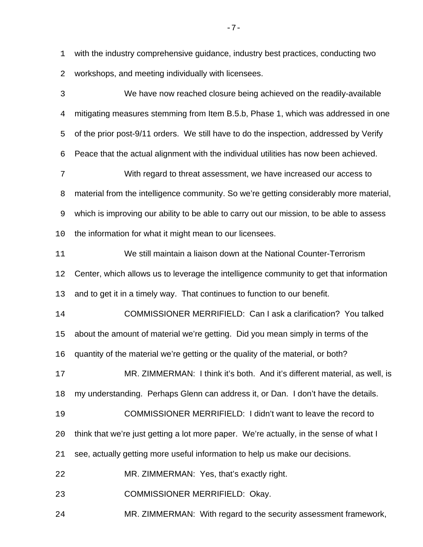with the industry comprehensive guidance, industry best practices, conducting two workshops, and meeting individually with licensees.

 We have now reached closure being achieved on the readily-available mitigating measures stemming from Item B.5.b, Phase 1, which was addressed in one of the prior post-9/11 orders. We still have to do the inspection, addressed by Verify Peace that the actual alignment with the individual utilities has now been achieved. With regard to threat assessment, we have increased our access to material from the intelligence community. So we're getting considerably more material, which is improving our ability to be able to carry out our mission, to be able to assess the information for what it might mean to our licensees. We still maintain a liaison down at the National Counter-Terrorism Center, which allows us to leverage the intelligence community to get that information and to get it in a timely way. That continues to function to our benefit. COMMISSIONER MERRIFIELD: Can I ask a clarification? You talked about the amount of material we're getting. Did you mean simply in terms of the quantity of the material we're getting or the quality of the material, or both? MR. ZIMMERMAN: I think it's both. And it's different material, as well, is my understanding. Perhaps Glenn can address it, or Dan. I don't have the details. COMMISSIONER MERRIFIELD: I didn't want to leave the record to think that we're just getting a lot more paper. We're actually, in the sense of what I see, actually getting more useful information to help us make our decisions. MR. ZIMMERMAN: Yes, that's exactly right. COMMISSIONER MERRIFIELD: Okay. MR. ZIMMERMAN: With regard to the security assessment framework,

 $-7-$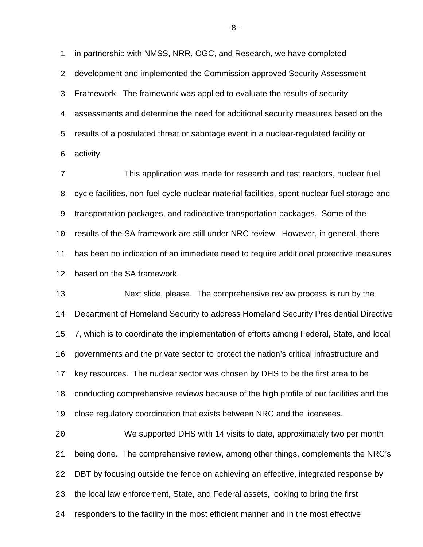in partnership with NMSS, NRR, OGC, and Research, we have completed development and implemented the Commission approved Security Assessment Framework. The framework was applied to evaluate the results of security assessments and determine the need for additional security measures based on the results of a postulated threat or sabotage event in a nuclear-regulated facility or activity.

 This application was made for research and test reactors, nuclear fuel cycle facilities, non-fuel cycle nuclear material facilities, spent nuclear fuel storage and transportation packages, and radioactive transportation packages. Some of the results of the SA framework are still under NRC review. However, in general, there has been no indication of an immediate need to require additional protective measures based on the SA framework.

 Next slide, please. The comprehensive review process is run by the Department of Homeland Security to address Homeland Security Presidential Directive 7, which is to coordinate the implementation of efforts among Federal, State, and local governments and the private sector to protect the nation's critical infrastructure and key resources. The nuclear sector was chosen by DHS to be the first area to be conducting comprehensive reviews because of the high profile of our facilities and the close regulatory coordination that exists between NRC and the licensees.

 We supported DHS with 14 visits to date, approximately two per month being done. The comprehensive review, among other things, complements the NRC's DBT by focusing outside the fence on achieving an effective, integrated response by the local law enforcement, State, and Federal assets, looking to bring the first responders to the facility in the most efficient manner and in the most effective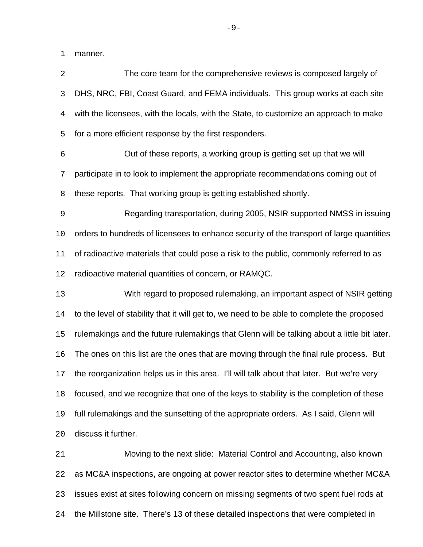manner.

 The core team for the comprehensive reviews is composed largely of DHS, NRC, FBI, Coast Guard, and FEMA individuals. This group works at each site with the licensees, with the locals, with the State, to customize an approach to make for a more efficient response by the first responders. Out of these reports, a working group is getting set up that we will participate in to look to implement the appropriate recommendations coming out of these reports. That working group is getting established shortly. Regarding transportation, during 2005, NSIR supported NMSS in issuing orders to hundreds of licensees to enhance security of the transport of large quantities of radioactive materials that could pose a risk to the public, commonly referred to as radioactive material quantities of concern, or RAMQC. With regard to proposed rulemaking, an important aspect of NSIR getting to the level of stability that it will get to, we need to be able to complete the proposed rulemakings and the future rulemakings that Glenn will be talking about a little bit later. The ones on this list are the ones that are moving through the final rule process. But the reorganization helps us in this area. I'll will talk about that later. But we're very focused, and we recognize that one of the keys to stability is the completion of these full rulemakings and the sunsetting of the appropriate orders. As I said, Glenn will discuss it further. Moving to the next slide: Material Control and Accounting, also known as MC&A inspections, are ongoing at power reactor sites to determine whether MC&A issues exist at sites following concern on missing segments of two spent fuel rods at

the Millstone site. There's 13 of these detailed inspections that were completed in

-9-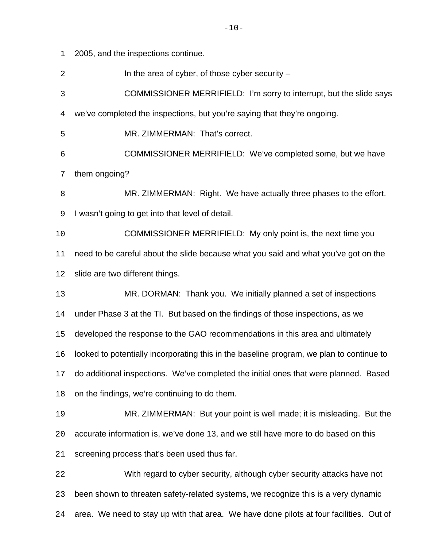2005, and the inspections continue.

2 In the area of cyber, of those cyber security –

COMMISSIONER MERRIFIELD: I'm sorry to interrupt, but the slide says

we've completed the inspections, but you're saying that they're ongoing.

MR. ZIMMERMAN: That's correct.

 COMMISSIONER MERRIFIELD: We've completed some, but we have them ongoing?

 MR. ZIMMERMAN: Right. We have actually three phases to the effort. I wasn't going to get into that level of detail.

 COMMISSIONER MERRIFIELD: My only point is, the next time you need to be careful about the slide because what you said and what you've got on the slide are two different things.

MR. DORMAN: Thank you. We initially planned a set of inspections

under Phase 3 at the TI. But based on the findings of those inspections, as we

developed the response to the GAO recommendations in this area and ultimately

looked to potentially incorporating this in the baseline program, we plan to continue to

do additional inspections. We've completed the initial ones that were planned. Based

on the findings, we're continuing to do them.

 MR. ZIMMERMAN: But your point is well made; it is misleading. But the accurate information is, we've done 13, and we still have more to do based on this screening process that's been used thus far.

 With regard to cyber security, although cyber security attacks have not been shown to threaten safety-related systems, we recognize this is a very dynamic area. We need to stay up with that area. We have done pilots at four facilities. Out of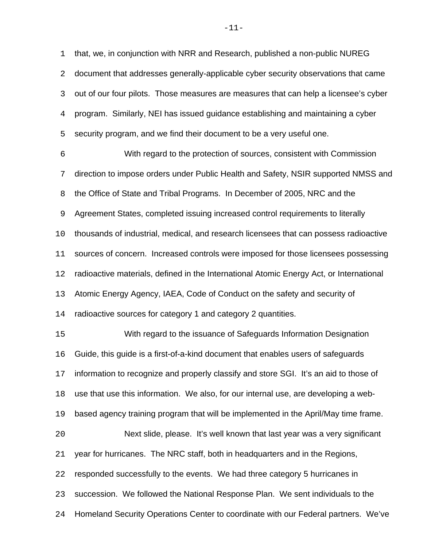that, we, in conjunction with NRR and Research, published a non-public NUREG document that addresses generally-applicable cyber security observations that came out of our four pilots. Those measures are measures that can help a licensee's cyber program. Similarly, NEI has issued guidance establishing and maintaining a cyber security program, and we find their document to be a very useful one.

 With regard to the protection of sources, consistent with Commission direction to impose orders under Public Health and Safety, NSIR supported NMSS and the Office of State and Tribal Programs. In December of 2005, NRC and the Agreement States, completed issuing increased control requirements to literally thousands of industrial, medical, and research licensees that can possess radioactive 11 sources of concern. Increased controls were imposed for those licensees possessing radioactive materials, defined in the International Atomic Energy Act, or International Atomic Energy Agency, IAEA, Code of Conduct on the safety and security of radioactive sources for category 1 and category 2 quantities. With regard to the issuance of Safeguards Information Designation Guide, this guide is a first-of-a-kind document that enables users of safeguards information to recognize and properly classify and store SGI. It's an aid to those of use that use this information. We also, for our internal use, are developing a web- based agency training program that will be implemented in the April/May time frame. Next slide, please. It's well known that last year was a very significant

year for hurricanes. The NRC staff, both in headquarters and in the Regions,

responded successfully to the events. We had three category 5 hurricanes in

succession. We followed the National Response Plan. We sent individuals to the

Homeland Security Operations Center to coordinate with our Federal partners. We've

-11-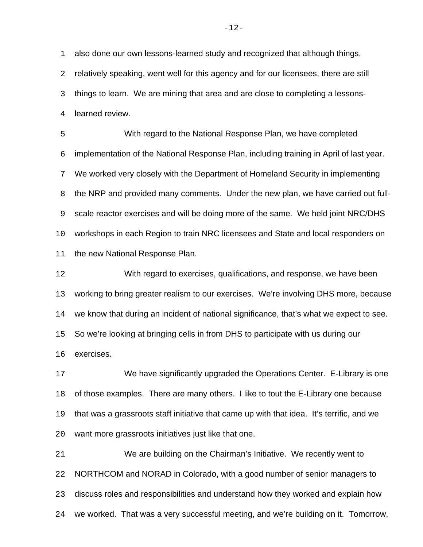also done our own lessons-learned study and recognized that although things, relatively speaking, went well for this agency and for our licensees, there are still things to learn. We are mining that area and are close to completing a lessons-learned review.

 With regard to the National Response Plan, we have completed implementation of the National Response Plan, including training in April of last year. We worked very closely with the Department of Homeland Security in implementing the NRP and provided many comments. Under the new plan, we have carried out full- scale reactor exercises and will be doing more of the same. We held joint NRC/DHS workshops in each Region to train NRC licensees and State and local responders on 11 the new National Response Plan.

 With regard to exercises, qualifications, and response, we have been working to bring greater realism to our exercises. We're involving DHS more, because we know that during an incident of national significance, that's what we expect to see. So we're looking at bringing cells in from DHS to participate with us during our exercises.

 We have significantly upgraded the Operations Center. E-Library is one of those examples. There are many others. I like to tout the E-Library one because that was a grassroots staff initiative that came up with that idea. It's terrific, and we want more grassroots initiatives just like that one.

 We are building on the Chairman's Initiative. We recently went to NORTHCOM and NORAD in Colorado, with a good number of senior managers to discuss roles and responsibilities and understand how they worked and explain how we worked. That was a very successful meeting, and we're building on it. Tomorrow,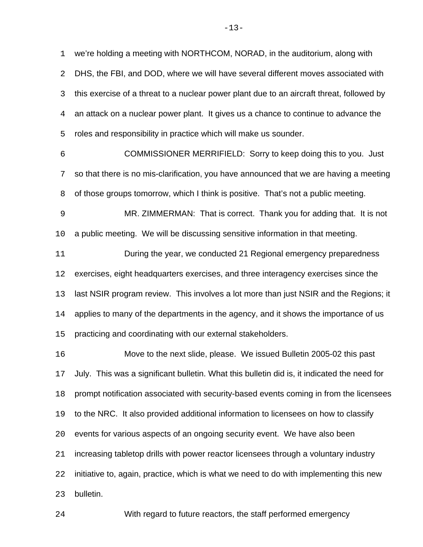we're holding a meeting with NORTHCOM, NORAD, in the auditorium, along with DHS, the FBI, and DOD, where we will have several different moves associated with this exercise of a threat to a nuclear power plant due to an aircraft threat, followed by an attack on a nuclear power plant. It gives us a chance to continue to advance the roles and responsibility in practice which will make us sounder.

 COMMISSIONER MERRIFIELD: Sorry to keep doing this to you. Just so that there is no mis-clarification, you have announced that we are having a meeting of those groups tomorrow, which I think is positive. That's not a public meeting.

 MR. ZIMMERMAN: That is correct. Thank you for adding that. It is not a public meeting. We will be discussing sensitive information in that meeting.

 During the year, we conducted 21 Regional emergency preparedness exercises, eight headquarters exercises, and three interagency exercises since the last NSIR program review. This involves a lot more than just NSIR and the Regions; it applies to many of the departments in the agency, and it shows the importance of us practicing and coordinating with our external stakeholders.

 Move to the next slide, please. We issued Bulletin 2005-02 this past July. This was a significant bulletin. What this bulletin did is, it indicated the need for prompt notification associated with security-based events coming in from the licensees to the NRC. It also provided additional information to licensees on how to classify events for various aspects of an ongoing security event. We have also been increasing tabletop drills with power reactor licensees through a voluntary industry initiative to, again, practice, which is what we need to do with implementing this new bulletin.

With regard to future reactors, the staff performed emergency

 $-13-$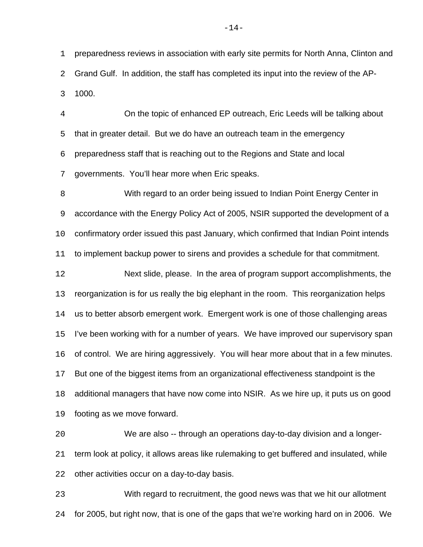preparedness reviews in association with early site permits for North Anna, Clinton and Grand Gulf. In addition, the staff has completed its input into the review of the AP-1000.

 On the topic of enhanced EP outreach, Eric Leeds will be talking about that in greater detail. But we do have an outreach team in the emergency preparedness staff that is reaching out to the Regions and State and local governments. You'll hear more when Eric speaks.

 With regard to an order being issued to Indian Point Energy Center in accordance with the Energy Policy Act of 2005, NSIR supported the development of a confirmatory order issued this past January, which confirmed that Indian Point intends to implement backup power to sirens and provides a schedule for that commitment. Next slide, please. In the area of program support accomplishments, the reorganization is for us really the big elephant in the room. This reorganization helps us to better absorb emergent work. Emergent work is one of those challenging areas I've been working with for a number of years. We have improved our supervisory span of control. We are hiring aggressively. You will hear more about that in a few minutes. But one of the biggest items from an organizational effectiveness standpoint is the additional managers that have now come into NSIR. As we hire up, it puts us on good footing as we move forward.

 We are also -- through an operations day-to-day division and a longer- term look at policy, it allows areas like rulemaking to get buffered and insulated, while other activities occur on a day-to-day basis.

 With regard to recruitment, the good news was that we hit our allotment for 2005, but right now, that is one of the gaps that we're working hard on in 2006. We

 $-14-$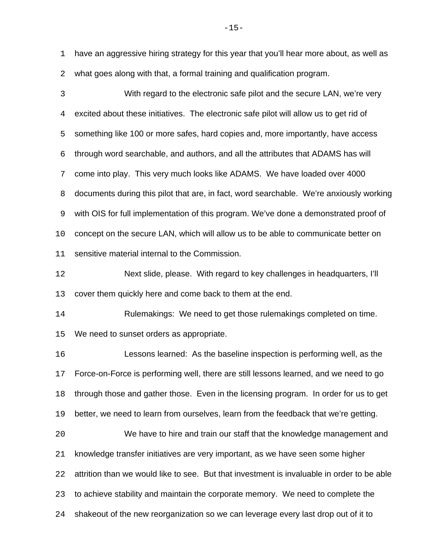have an aggressive hiring strategy for this year that you'll hear more about, as well as what goes along with that, a formal training and qualification program.

 With regard to the electronic safe pilot and the secure LAN, we're very excited about these initiatives. The electronic safe pilot will allow us to get rid of something like 100 or more safes, hard copies and, more importantly, have access through word searchable, and authors, and all the attributes that ADAMS has will come into play. This very much looks like ADAMS. We have loaded over 4000 documents during this pilot that are, in fact, word searchable. We're anxiously working with OIS for full implementation of this program. We've done a demonstrated proof of concept on the secure LAN, which will allow us to be able to communicate better on sensitive material internal to the Commission.

 Next slide, please. With regard to key challenges in headquarters, I'll cover them quickly here and come back to them at the end.

 Rulemakings: We need to get those rulemakings completed on time. We need to sunset orders as appropriate.

 Lessons learned: As the baseline inspection is performing well, as the Force-on-Force is performing well, there are still lessons learned, and we need to go through those and gather those. Even in the licensing program. In order for us to get better, we need to learn from ourselves, learn from the feedback that we're getting.

 We have to hire and train our staff that the knowledge management and knowledge transfer initiatives are very important, as we have seen some higher attrition than we would like to see. But that investment is invaluable in order to be able to achieve stability and maintain the corporate memory. We need to complete the shakeout of the new reorganization so we can leverage every last drop out of it to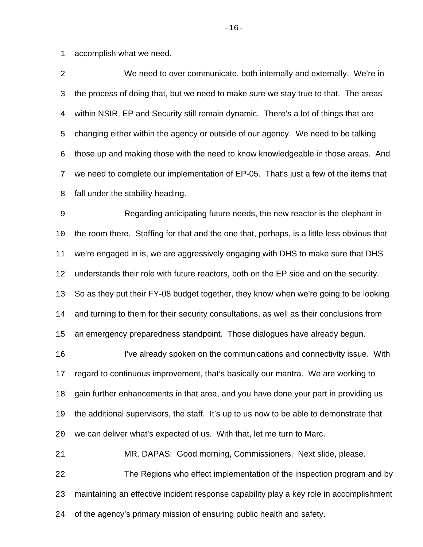accomplish what we need.

 We need to over communicate, both internally and externally. We're in the process of doing that, but we need to make sure we stay true to that. The areas within NSIR, EP and Security still remain dynamic. There's a lot of things that are changing either within the agency or outside of our agency. We need to be talking those up and making those with the need to know knowledgeable in those areas. And we need to complete our implementation of EP-05. That's just a few of the items that fall under the stability heading.

 Regarding anticipating future needs, the new reactor is the elephant in the room there. Staffing for that and the one that, perhaps, is a little less obvious that we're engaged in is, we are aggressively engaging with DHS to make sure that DHS understands their role with future reactors, both on the EP side and on the security. So as they put their FY-08 budget together, they know when we're going to be looking and turning to them for their security consultations, as well as their conclusions from

an emergency preparedness standpoint. Those dialogues have already begun.

 I've already spoken on the communications and connectivity issue. With regard to continuous improvement, that's basically our mantra. We are working to gain further enhancements in that area, and you have done your part in providing us the additional supervisors, the staff. It's up to us now to be able to demonstrate that we can deliver what's expected of us. With that, let me turn to Marc.

 MR. DAPAS: Good morning, Commissioners. Next slide, please. The Regions who effect implementation of the inspection program and by maintaining an effective incident response capability play a key role in accomplishment of the agency's primary mission of ensuring public health and safety.

 $-16-$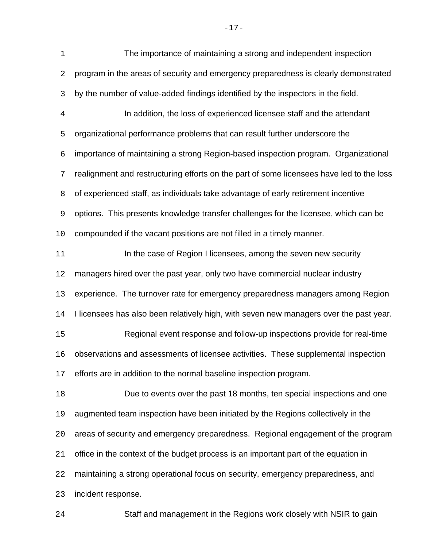The importance of maintaining a strong and independent inspection program in the areas of security and emergency preparedness is clearly demonstrated by the number of value-added findings identified by the inspectors in the field. In addition, the loss of experienced licensee staff and the attendant organizational performance problems that can result further underscore the importance of maintaining a strong Region-based inspection program. Organizational realignment and restructuring efforts on the part of some licensees have led to the loss of experienced staff, as individuals take advantage of early retirement incentive options. This presents knowledge transfer challenges for the licensee, which can be compounded if the vacant positions are not filled in a timely manner. **In the case of Region I licensees, among the seven new security**  managers hired over the past year, only two have commercial nuclear industry experience. The turnover rate for emergency preparedness managers among Region I licensees has also been relatively high, with seven new managers over the past year. Regional event response and follow-up inspections provide for real-time observations and assessments of licensee activities. These supplemental inspection efforts are in addition to the normal baseline inspection program. Due to events over the past 18 months, ten special inspections and one augmented team inspection have been initiated by the Regions collectively in the areas of security and emergency preparedness. Regional engagement of the program office in the context of the budget process is an important part of the equation in maintaining a strong operational focus on security, emergency preparedness, and incident response. Staff and management in the Regions work closely with NSIR to gain

-17-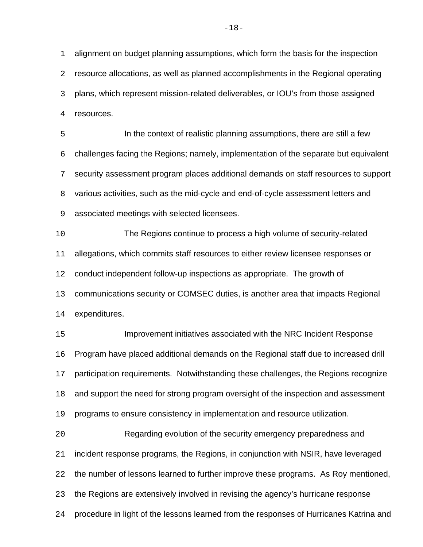alignment on budget planning assumptions, which form the basis for the inspection resource allocations, as well as planned accomplishments in the Regional operating plans, which represent mission-related deliverables, or IOU's from those assigned resources.

 In the context of realistic planning assumptions, there are still a few challenges facing the Regions; namely, implementation of the separate but equivalent security assessment program places additional demands on staff resources to support various activities, such as the mid-cycle and end-of-cycle assessment letters and associated meetings with selected licensees.

 The Regions continue to process a high volume of security-related allegations, which commits staff resources to either review licensee responses or conduct independent follow-up inspections as appropriate. The growth of communications security or COMSEC duties, is another area that impacts Regional expenditures.

 Improvement initiatives associated with the NRC Incident Response Program have placed additional demands on the Regional staff due to increased drill participation requirements. Notwithstanding these challenges, the Regions recognize and support the need for strong program oversight of the inspection and assessment programs to ensure consistency in implementation and resource utilization.

 Regarding evolution of the security emergency preparedness and incident response programs, the Regions, in conjunction with NSIR, have leveraged the number of lessons learned to further improve these programs. As Roy mentioned, the Regions are extensively involved in revising the agency's hurricane response procedure in light of the lessons learned from the responses of Hurricanes Katrina and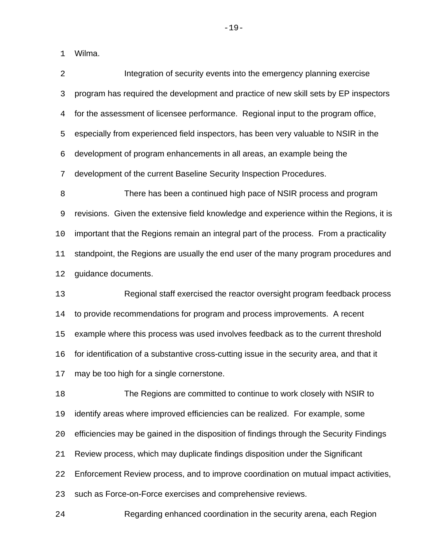Wilma.

| $\overline{2}$ | Integration of security events into the emergency planning exercise                       |
|----------------|-------------------------------------------------------------------------------------------|
| 3              | program has required the development and practice of new skill sets by EP inspectors      |
| 4              | for the assessment of licensee performance. Regional input to the program office,         |
| 5              | especially from experienced field inspectors, has been very valuable to NSIR in the       |
| 6              | development of program enhancements in all areas, an example being the                    |
| 7              | development of the current Baseline Security Inspection Procedures.                       |
| 8              | There has been a continued high pace of NSIR process and program                          |
| $\mathsf 9$    | revisions. Given the extensive field knowledge and experience within the Regions, it is   |
| 10             | important that the Regions remain an integral part of the process. From a practicality    |
| 11             | standpoint, the Regions are usually the end user of the many program procedures and       |
| 12             | guidance documents.                                                                       |
| 13             | Regional staff exercised the reactor oversight program feedback process                   |
| 14             | to provide recommendations for program and process improvements. A recent                 |
| 15             | example where this process was used involves feedback as to the current threshold         |
| 16             | for identification of a substantive cross-cutting issue in the security area, and that it |
| 17             | may be too high for a single cornerstone.                                                 |
| 18             | The Regions are committed to continue to work closely with NSIR to                        |
| 19             | identify areas where improved efficiencies can be realized. For example, some             |
| 20             | efficiencies may be gained in the disposition of findings through the Security Findings   |
| 21             | Review process, which may duplicate findings disposition under the Significant            |
| 22             | Enforcement Review process, and to improve coordination on mutual impact activities,      |
| 23             | such as Force-on-Force exercises and comprehensive reviews.                               |
| 24             | Regarding enhanced coordination in the security arena, each Region                        |

-19-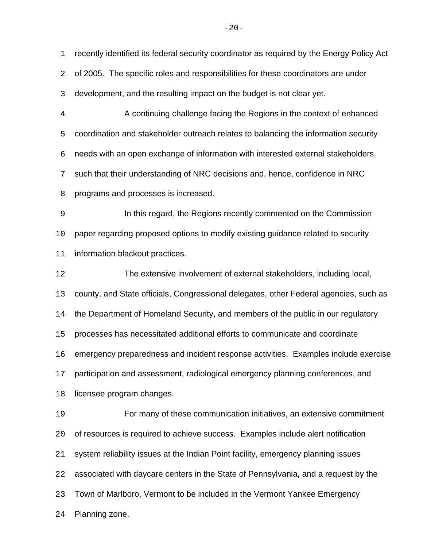recently identified its federal security coordinator as required by the Energy Policy Act

of 2005. The specific roles and responsibilities for these coordinators are under

development, and the resulting impact on the budget is not clear yet.

 A continuing challenge facing the Regions in the context of enhanced coordination and stakeholder outreach relates to balancing the information security needs with an open exchange of information with interested external stakeholders, such that their understanding of NRC decisions and, hence, confidence in NRC programs and processes is increased.

 In this regard, the Regions recently commented on the Commission paper regarding proposed options to modify existing guidance related to security information blackout practices.

 The extensive involvement of external stakeholders, including local, county, and State officials, Congressional delegates, other Federal agencies, such as the Department of Homeland Security, and members of the public in our regulatory processes has necessitated additional efforts to communicate and coordinate emergency preparedness and incident response activities. Examples include exercise participation and assessment, radiological emergency planning conferences, and licensee program changes.

 For many of these communication initiatives, an extensive commitment of resources is required to achieve success. Examples include alert notification system reliability issues at the Indian Point facility, emergency planning issues associated with daycare centers in the State of Pennsylvania, and a request by the Town of Marlboro, Vermont to be included in the Vermont Yankee Emergency Planning zone.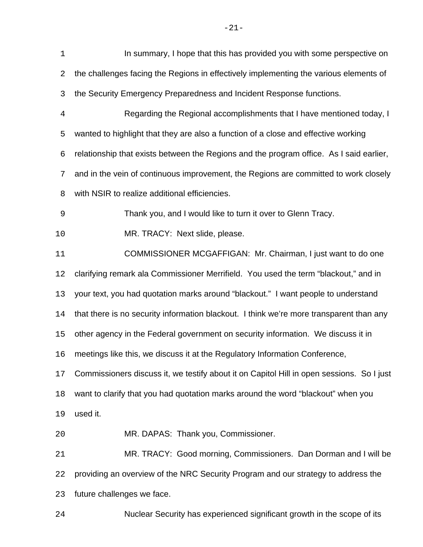| $\mathbf 1$    | In summary, I hope that this has provided you with some perspective on                    |
|----------------|-------------------------------------------------------------------------------------------|
| 2              | the challenges facing the Regions in effectively implementing the various elements of     |
| 3              | the Security Emergency Preparedness and Incident Response functions.                      |
| $\overline{4}$ | Regarding the Regional accomplishments that I have mentioned today, I                     |
| 5              | wanted to highlight that they are also a function of a close and effective working        |
| 6              | relationship that exists between the Regions and the program office. As I said earlier,   |
| 7              | and in the vein of continuous improvement, the Regions are committed to work closely      |
| 8              | with NSIR to realize additional efficiencies.                                             |
| $\mathsf 9$    | Thank you, and I would like to turn it over to Glenn Tracy.                               |
| 10             | MR. TRACY: Next slide, please.                                                            |
| 11             | COMMISSIONER MCGAFFIGAN: Mr. Chairman, I just want to do one                              |
| 12             | clarifying remark ala Commissioner Merrifield. You used the term "blackout," and in       |
| 13             | your text, you had quotation marks around "blackout." I want people to understand         |
| 14             | that there is no security information blackout. I think we're more transparent than any   |
| 15             | other agency in the Federal government on security information. We discuss it in          |
| 16             | meetings like this, we discuss it at the Regulatory Information Conference                |
| 17             | Commissioners discuss it, we testify about it on Capitol Hill in open sessions. So I just |
| 18             | want to clarify that you had quotation marks around the word "blackout" when you          |
| 19             | used it.                                                                                  |
| 20             | MR. DAPAS: Thank you, Commissioner.                                                       |
| 21             | MR. TRACY: Good morning, Commissioners. Dan Dorman and I will be                          |
| 22             | providing an overview of the NRC Security Program and our strategy to address the         |
| 23             | future challenges we face.                                                                |
| 24             | Nuclear Security has experienced significant growth in the scope of its                   |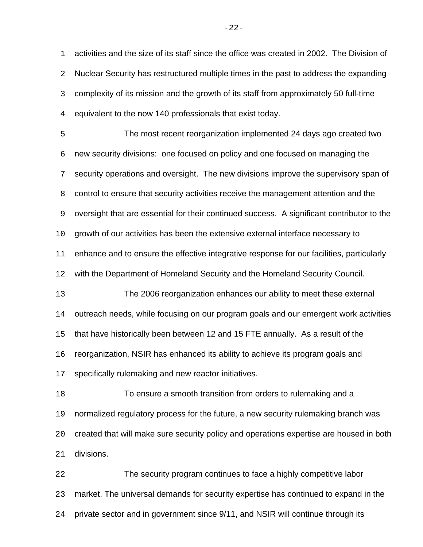activities and the size of its staff since the office was created in 2002. The Division of Nuclear Security has restructured multiple times in the past to address the expanding complexity of its mission and the growth of its staff from approximately 50 full-time equivalent to the now 140 professionals that exist today.

 The most recent reorganization implemented 24 days ago created two new security divisions: one focused on policy and one focused on managing the security operations and oversight. The new divisions improve the supervisory span of control to ensure that security activities receive the management attention and the oversight that are essential for their continued success. A significant contributor to the growth of our activities has been the extensive external interface necessary to enhance and to ensure the effective integrative response for our facilities, particularly with the Department of Homeland Security and the Homeland Security Council. The 2006 reorganization enhances our ability to meet these external outreach needs, while focusing on our program goals and our emergent work activities that have historically been between 12 and 15 FTE annually. As a result of the reorganization, NSIR has enhanced its ability to achieve its program goals and specifically rulemaking and new reactor initiatives.

 To ensure a smooth transition from orders to rulemaking and a normalized regulatory process for the future, a new security rulemaking branch was created that will make sure security policy and operations expertise are housed in both divisions.

 The security program continues to face a highly competitive labor market. The universal demands for security expertise has continued to expand in the private sector and in government since 9/11, and NSIR will continue through its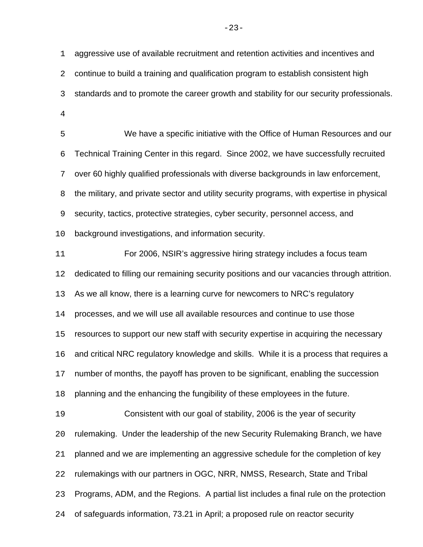aggressive use of available recruitment and retention activities and incentives and continue to build a training and qualification program to establish consistent high standards and to promote the career growth and stability for our security professionals. 

 We have a specific initiative with the Office of Human Resources and our Technical Training Center in this regard. Since 2002, we have successfully recruited over 60 highly qualified professionals with diverse backgrounds in law enforcement, the military, and private sector and utility security programs, with expertise in physical security, tactics, protective strategies, cyber security, personnel access, and background investigations, and information security.

 For 2006, NSIR's aggressive hiring strategy includes a focus team dedicated to filling our remaining security positions and our vacancies through attrition. As we all know, there is a learning curve for newcomers to NRC's regulatory processes, and we will use all available resources and continue to use those resources to support our new staff with security expertise in acquiring the necessary and critical NRC regulatory knowledge and skills. While it is a process that requires a number of months, the payoff has proven to be significant, enabling the succession planning and the enhancing the fungibility of these employees in the future. Consistent with our goal of stability, 2006 is the year of security rulemaking. Under the leadership of the new Security Rulemaking Branch, we have planned and we are implementing an aggressive schedule for the completion of key rulemakings with our partners in OGC, NRR, NMSS, Research, State and Tribal Programs, ADM, and the Regions. A partial list includes a final rule on the protection of safeguards information, 73.21 in April; a proposed rule on reactor security

 $-23-$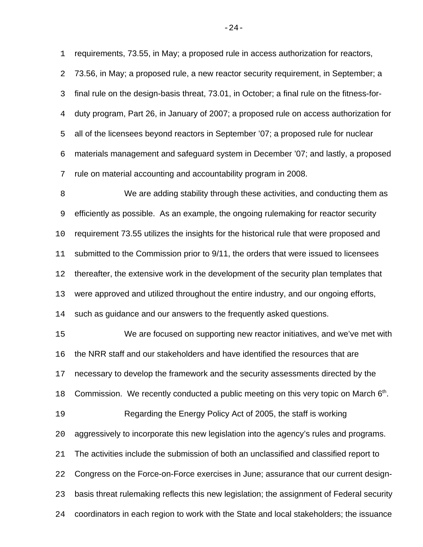requirements, 73.55, in May; a proposed rule in access authorization for reactors,

 73.56, in May; a proposed rule, a new reactor security requirement, in September; a final rule on the design-basis threat, 73.01, in October; a final rule on the fitness-for- duty program, Part 26, in January of 2007; a proposed rule on access authorization for all of the licensees beyond reactors in September '07; a proposed rule for nuclear materials management and safeguard system in December '07; and lastly, a proposed rule on material accounting and accountability program in 2008.

 We are adding stability through these activities, and conducting them as efficiently as possible. As an example, the ongoing rulemaking for reactor security requirement 73.55 utilizes the insights for the historical rule that were proposed and 11 submitted to the Commission prior to 9/11, the orders that were issued to licensees thereafter, the extensive work in the development of the security plan templates that were approved and utilized throughout the entire industry, and our ongoing efforts, such as guidance and our answers to the frequently asked questions.

 We are focused on supporting new reactor initiatives, and we've met with the NRR staff and our stakeholders and have identified the resources that are necessary to develop the framework and the security assessments directed by the 18 Commission. We recently conducted a public meeting on this very topic on March  $6<sup>th</sup>$ . Regarding the Energy Policy Act of 2005, the staff is working aggressively to incorporate this new legislation into the agency's rules and programs. The activities include the submission of both an unclassified and classified report to Congress on the Force-on-Force exercises in June; assurance that our current design- basis threat rulemaking reflects this new legislation; the assignment of Federal security coordinators in each region to work with the State and local stakeholders; the issuance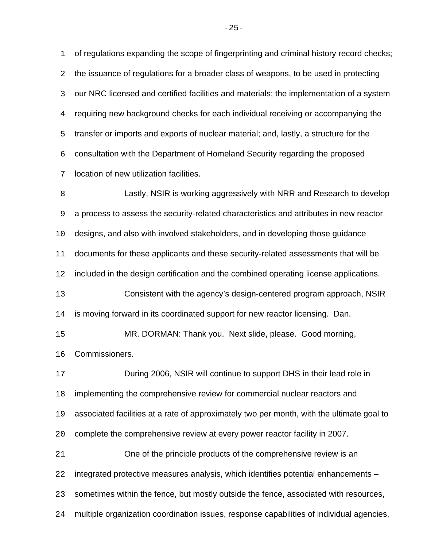of regulations expanding the scope of fingerprinting and criminal history record checks; the issuance of regulations for a broader class of weapons, to be used in protecting our NRC licensed and certified facilities and materials; the implementation of a system requiring new background checks for each individual receiving or accompanying the transfer or imports and exports of nuclear material; and, lastly, a structure for the consultation with the Department of Homeland Security regarding the proposed location of new utilization facilities.

 Lastly, NSIR is working aggressively with NRR and Research to develop a process to assess the security-related characteristics and attributes in new reactor designs, and also with involved stakeholders, and in developing those guidance documents for these applicants and these security-related assessments that will be included in the design certification and the combined operating license applications. Consistent with the agency's design-centered program approach, NSIR is moving forward in its coordinated support for new reactor licensing. Dan. MR. DORMAN: Thank you. Next slide, please. Good morning,

Commissioners.

 During 2006, NSIR will continue to support DHS in their lead role in implementing the comprehensive review for commercial nuclear reactors and associated facilities at a rate of approximately two per month, with the ultimate goal to complete the comprehensive review at every power reactor facility in 2007. One of the principle products of the comprehensive review is an integrated protective measures analysis, which identifies potential enhancements – sometimes within the fence, but mostly outside the fence, associated with resources, multiple organization coordination issues, response capabilities of individual agencies,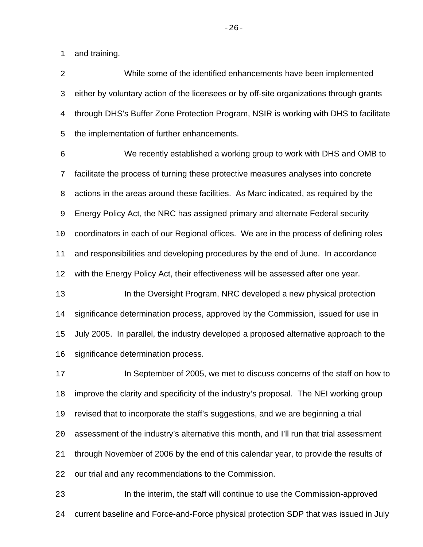and training.

 While some of the identified enhancements have been implemented either by voluntary action of the licensees or by off-site organizations through grants through DHS's Buffer Zone Protection Program, NSIR is working with DHS to facilitate the implementation of further enhancements.

 We recently established a working group to work with DHS and OMB to facilitate the process of turning these protective measures analyses into concrete actions in the areas around these facilities. As Marc indicated, as required by the Energy Policy Act, the NRC has assigned primary and alternate Federal security coordinators in each of our Regional offices. We are in the process of defining roles and responsibilities and developing procedures by the end of June. In accordance with the Energy Policy Act, their effectiveness will be assessed after one year.

 In the Oversight Program, NRC developed a new physical protection significance determination process, approved by the Commission, issued for use in July 2005. In parallel, the industry developed a proposed alternative approach to the significance determination process.

 In September of 2005, we met to discuss concerns of the staff on how to improve the clarity and specificity of the industry's proposal. The NEI working group revised that to incorporate the staff's suggestions, and we are beginning a trial assessment of the industry's alternative this month, and I'll run that trial assessment through November of 2006 by the end of this calendar year, to provide the results of our trial and any recommendations to the Commission.

 In the interim, the staff will continue to use the Commission-approved current baseline and Force-and-Force physical protection SDP that was issued in July

 $-26-$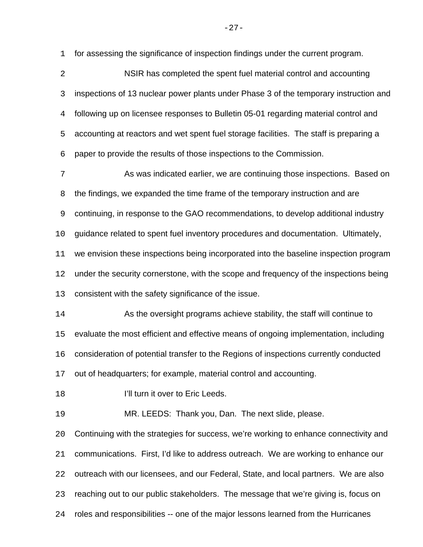for assessing the significance of inspection findings under the current program.

 NSIR has completed the spent fuel material control and accounting inspections of 13 nuclear power plants under Phase 3 of the temporary instruction and following up on licensee responses to Bulletin 05-01 regarding material control and accounting at reactors and wet spent fuel storage facilities. The staff is preparing a paper to provide the results of those inspections to the Commission.

 As was indicated earlier, we are continuing those inspections. Based on the findings, we expanded the time frame of the temporary instruction and are continuing, in response to the GAO recommendations, to develop additional industry guidance related to spent fuel inventory procedures and documentation. Ultimately, we envision these inspections being incorporated into the baseline inspection program under the security cornerstone, with the scope and frequency of the inspections being

consistent with the safety significance of the issue.

 As the oversight programs achieve stability, the staff will continue to evaluate the most efficient and effective means of ongoing implementation, including consideration of potential transfer to the Regions of inspections currently conducted out of headquarters; for example, material control and accounting.

**I'll turn it over to Eric Leeds.** 

MR. LEEDS: Thank you, Dan. The next slide, please.

 Continuing with the strategies for success, we're working to enhance connectivity and communications. First, I'd like to address outreach. We are working to enhance our outreach with our licensees, and our Federal, State, and local partners. We are also reaching out to our public stakeholders. The message that we're giving is, focus on roles and responsibilities -- one of the major lessons learned from the Hurricanes

 $-27-$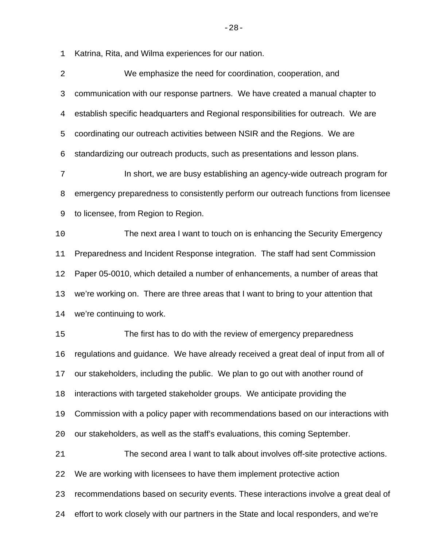Katrina, Rita, and Wilma experiences for our nation.

| $\overline{2}$ | We emphasize the need for coordination, cooperation, and                              |
|----------------|---------------------------------------------------------------------------------------|
| 3              | communication with our response partners. We have created a manual chapter to         |
| 4              | establish specific headquarters and Regional responsibilities for outreach. We are    |
| 5              | coordinating our outreach activities between NSIR and the Regions. We are             |
| 6              | standardizing our outreach products, such as presentations and lesson plans.          |
| 7              | In short, we are busy establishing an agency-wide outreach program for                |
| 8              | emergency preparedness to consistently perform our outreach functions from licensee   |
| 9              | to licensee, from Region to Region.                                                   |
| 10             | The next area I want to touch on is enhancing the Security Emergency                  |
| 11             | Preparedness and Incident Response integration. The staff had sent Commission         |
| 12             | Paper 05-0010, which detailed a number of enhancements, a number of areas that        |
| 13             | we're working on. There are three areas that I want to bring to your attention that   |
| 14             | we're continuing to work.                                                             |
| 15             | The first has to do with the review of emergency preparedness                         |
| 16             | regulations and guidance. We have already received a great deal of input from all of  |
| 17             | our stakeholders, including the public. We plan to go out with another round of       |
| 18             | interactions with targeted stakeholder groups. We anticipate providing the            |
| 19             | Commission with a policy paper with recommendations based on our interactions with    |
| 20             | our stakeholders, as well as the staff's evaluations, this coming September.          |
| 21             | The second area I want to talk about involves off-site protective actions.            |
| 22             | We are working with licensees to have them implement protective action                |
| 23             | recommendations based on security events. These interactions involve a great deal of  |
| 24             | effort to work closely with our partners in the State and local responders, and we're |

-28-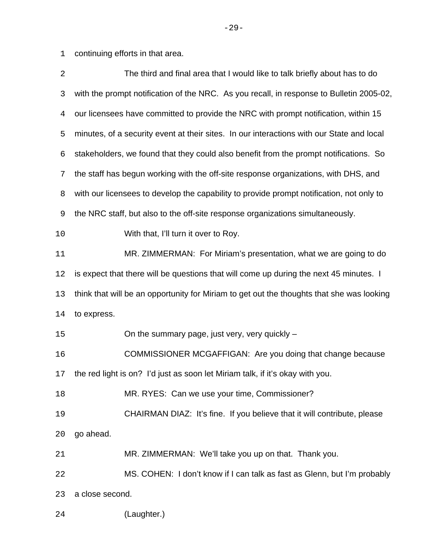continuing efforts in that area.

| 2  | The third and final area that I would like to talk briefly about has to do                |
|----|-------------------------------------------------------------------------------------------|
| 3  | with the prompt notification of the NRC. As you recall, in response to Bulletin 2005-02,  |
| 4  | our licensees have committed to provide the NRC with prompt notification, within 15       |
| 5  | minutes, of a security event at their sites. In our interactions with our State and local |
| 6  | stakeholders, we found that they could also benefit from the prompt notifications. So     |
| 7  | the staff has begun working with the off-site response organizations, with DHS, and       |
| 8  | with our licensees to develop the capability to provide prompt notification, not only to  |
| 9  | the NRC staff, but also to the off-site response organizations simultaneously.            |
| 10 | With that, I'll turn it over to Roy.                                                      |
| 11 | MR. ZIMMERMAN: For Miriam's presentation, what we are going to do                         |
| 12 | is expect that there will be questions that will come up during the next 45 minutes. I    |
| 13 | think that will be an opportunity for Miriam to get out the thoughts that she was looking |
| 14 | to express.                                                                               |
| 15 | On the summary page, just very, very quickly -                                            |
| 16 | COMMISSIONER MCGAFFIGAN: Are you doing that change because                                |
| 17 | the red light is on? I'd just as soon let Miriam talk, if it's okay with you.             |
| 18 | MR. RYES: Can we use your time, Commissioner?                                             |
| 19 | CHAIRMAN DIAZ: It's fine. If you believe that it will contribute, please                  |
| 20 | go ahead.                                                                                 |
| 21 | MR. ZIMMERMAN: We'll take you up on that. Thank you.                                      |
| 22 | MS. COHEN: I don't know if I can talk as fast as Glenn, but I'm probably                  |
| 23 | a close second.                                                                           |
| 24 | (Laughter.)                                                                               |

-29-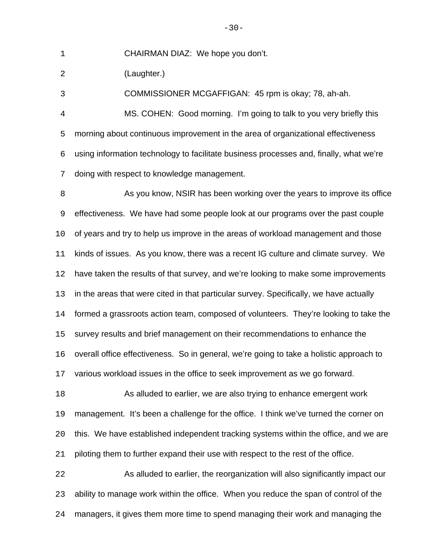CHAIRMAN DIAZ: We hope you don't.

(Laughter.)

COMMISSIONER MCGAFFIGAN: 45 rpm is okay; 78, ah-ah.

 MS. COHEN: Good morning. I'm going to talk to you very briefly this morning about continuous improvement in the area of organizational effectiveness using information technology to facilitate business processes and, finally, what we're doing with respect to knowledge management.

8 As you know, NSIR has been working over the years to improve its office effectiveness. We have had some people look at our programs over the past couple of years and try to help us improve in the areas of workload management and those kinds of issues. As you know, there was a recent IG culture and climate survey. We have taken the results of that survey, and we're looking to make some improvements in the areas that were cited in that particular survey. Specifically, we have actually formed a grassroots action team, composed of volunteers. They're looking to take the survey results and brief management on their recommendations to enhance the overall office effectiveness. So in general, we're going to take a holistic approach to various workload issues in the office to seek improvement as we go forward. As alluded to earlier, we are also trying to enhance emergent work management. It's been a challenge for the office. I think we've turned the corner on this. We have established independent tracking systems within the office, and we are piloting them to further expand their use with respect to the rest of the office. As alluded to earlier, the reorganization will also significantly impact our ability to manage work within the office. When you reduce the span of control of the

managers, it gives them more time to spend managing their work and managing the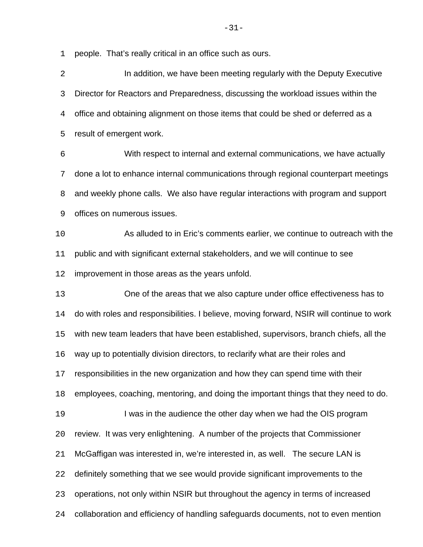people. That's really critical in an office such as ours.

| $\overline{2}$ | In addition, we have been meeting regularly with the Deputy Executive                     |
|----------------|-------------------------------------------------------------------------------------------|
| 3              | Director for Reactors and Preparedness, discussing the workload issues within the         |
| 4              | office and obtaining alignment on those items that could be shed or deferred as a         |
| 5              | result of emergent work.                                                                  |
| 6              | With respect to internal and external communications, we have actually                    |
| 7              | done a lot to enhance internal communications through regional counterpart meetings       |
| 8              | and weekly phone calls. We also have regular interactions with program and support        |
| 9              | offices on numerous issues.                                                               |
| 10             | As alluded to in Eric's comments earlier, we continue to outreach with the                |
| 11             | public and with significant external stakeholders, and we will continue to see            |
| 12             | improvement in those areas as the years unfold.                                           |
| 13             | One of the areas that we also capture under office effectiveness has to                   |
| 14             | do with roles and responsibilities. I believe, moving forward, NSIR will continue to work |
| 15             | with new team leaders that have been established, supervisors, branch chiefs, all the     |
| 16             | way up to potentially division directors, to reclarify what are their roles and           |
| 17             | responsibilities in the new organization and how they can spend time with their           |
| 18             | employees, coaching, mentoring, and doing the important things that they need to do.      |
| 19             | I was in the audience the other day when we had the OIS program                           |
| 20             | review. It was very enlightening. A number of the projects that Commissioner              |
| 21             | McGaffigan was interested in, we're interested in, as well. The secure LAN is             |
| 22             | definitely something that we see would provide significant improvements to the            |
| 23             | operations, not only within NSIR but throughout the agency in terms of increased          |
| 24             | collaboration and efficiency of handling safeguards documents, not to even mention        |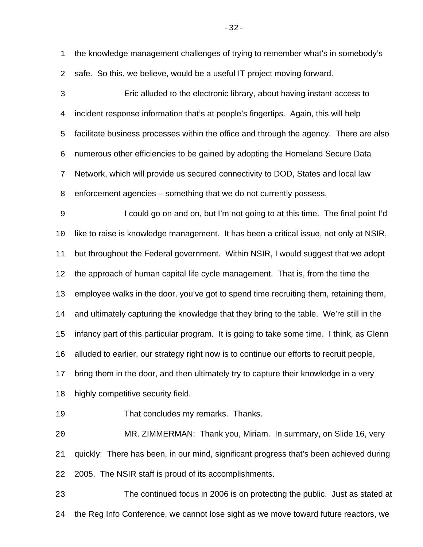the knowledge management challenges of trying to remember what's in somebody's safe. So this, we believe, would be a useful IT project moving forward.

 Eric alluded to the electronic library, about having instant access to incident response information that's at people's fingertips. Again, this will help facilitate business processes within the office and through the agency. There are also numerous other efficiencies to be gained by adopting the Homeland Secure Data Network, which will provide us secured connectivity to DOD, States and local law enforcement agencies – something that we do not currently possess.

 I could go on and on, but I'm not going to at this time. The final point I'd like to raise is knowledge management. It has been a critical issue, not only at NSIR, but throughout the Federal government. Within NSIR, I would suggest that we adopt the approach of human capital life cycle management. That is, from the time the employee walks in the door, you've got to spend time recruiting them, retaining them, and ultimately capturing the knowledge that they bring to the table. We're still in the infancy part of this particular program. It is going to take some time. I think, as Glenn alluded to earlier, our strategy right now is to continue our efforts to recruit people, bring them in the door, and then ultimately try to capture their knowledge in a very highly competitive security field.

That concludes my remarks. Thanks.

 MR. ZIMMERMAN: Thank you, Miriam. In summary, on Slide 16, very quickly: There has been, in our mind, significant progress that's been achieved during 2005. The NSIR staff is proud of its accomplishments.

 The continued focus in 2006 is on protecting the public. Just as stated at the Reg Info Conference, we cannot lose sight as we move toward future reactors, we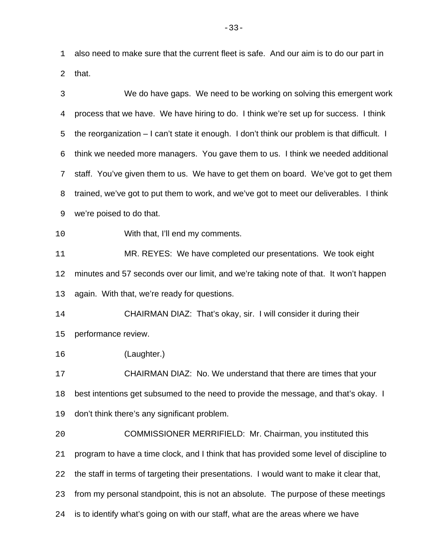also need to make sure that the current fleet is safe. And our aim is to do our part in that.

 We do have gaps. We need to be working on solving this emergent work process that we have. We have hiring to do. I think we're set up for success. I think the reorganization – I can't state it enough. I don't think our problem is that difficult. I think we needed more managers. You gave them to us. I think we needed additional staff. You've given them to us. We have to get them on board. We've got to get them trained, we've got to put them to work, and we've got to meet our deliverables. I think we're poised to do that. With that, I'll end my comments. MR. REYES: We have completed our presentations. We took eight minutes and 57 seconds over our limit, and we're taking note of that. It won't happen again. With that, we're ready for questions. CHAIRMAN DIAZ: That's okay, sir. I will consider it during their performance review. (Laughter.) CHAIRMAN DIAZ: No. We understand that there are times that your best intentions get subsumed to the need to provide the message, and that's okay. I don't think there's any significant problem. COMMISSIONER MERRIFIELD: Mr. Chairman, you instituted this program to have a time clock, and I think that has provided some level of discipline to the staff in terms of targeting their presentations. I would want to make it clear that, from my personal standpoint, this is not an absolute. The purpose of these meetings is to identify what's going on with our staff, what are the areas where we have

-33-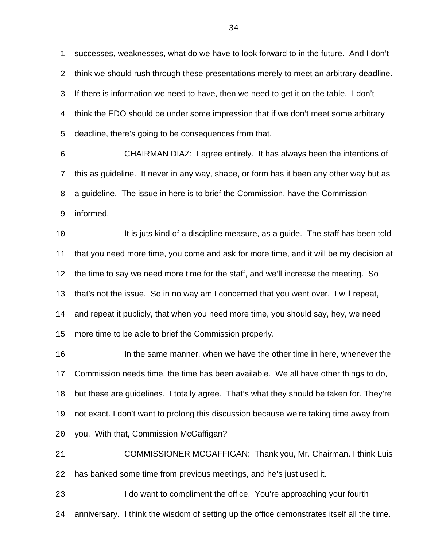successes, weaknesses, what do we have to look forward to in the future. And I don't think we should rush through these presentations merely to meet an arbitrary deadline. If there is information we need to have, then we need to get it on the table. I don't think the EDO should be under some impression that if we don't meet some arbitrary deadline, there's going to be consequences from that.

 CHAIRMAN DIAZ: I agree entirely. It has always been the intentions of this as guideline. It never in any way, shape, or form has it been any other way but as a guideline. The issue in here is to brief the Commission, have the Commission informed.

10 It is juts kind of a discipline measure, as a guide. The staff has been told that you need more time, you come and ask for more time, and it will be my decision at the time to say we need more time for the staff, and we'll increase the meeting. So that's not the issue. So in no way am I concerned that you went over. I will repeat, and repeat it publicly, that when you need more time, you should say, hey, we need more time to be able to brief the Commission properly.

 In the same manner, when we have the other time in here, whenever the Commission needs time, the time has been available. We all have other things to do, but these are guidelines. I totally agree. That's what they should be taken for. They're not exact. I don't want to prolong this discussion because we're taking time away from you. With that, Commission McGaffigan?

 COMMISSIONER MCGAFFIGAN: Thank you, Mr. Chairman. I think Luis has banked some time from previous meetings, and he's just used it.

 I do want to compliment the office. You're approaching your fourth anniversary. I think the wisdom of setting up the office demonstrates itself all the time.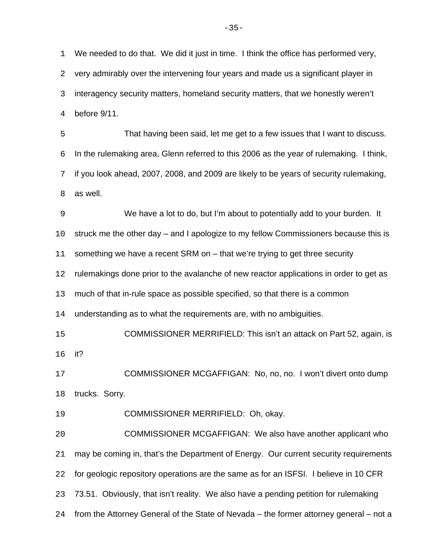We needed to do that. We did it just in time. I think the office has performed very, very admirably over the intervening four years and made us a significant player in interagency security matters, homeland security matters, that we honestly weren't before 9/11.

 That having been said, let me get to a few issues that I want to discuss. In the rulemaking area, Glenn referred to this 2006 as the year of rulemaking. I think, if you look ahead, 2007, 2008, and 2009 are likely to be years of security rulemaking, as well.

 We have a lot to do, but I'm about to potentially add to your burden. It struck me the other day – and I apologize to my fellow Commissioners because this is something we have a recent SRM on – that we're trying to get three security rulemakings done prior to the avalanche of new reactor applications in order to get as much of that in-rule space as possible specified, so that there is a common understanding as to what the requirements are, with no ambiguities. COMMISSIONER MERRIFIELD: This isn't an attack on Part 52, again, is it? COMMISSIONER MCGAFFIGAN: No, no, no. I won't divert onto dump trucks. Sorry. COMMISSIONER MERRIFIELD: Oh, okay. COMMISSIONER MCGAFFIGAN: We also have another applicant who may be coming in, that's the Department of Energy. Our current security requirements for geologic repository operations are the same as for an ISFSI. I believe in 10 CFR

73.51. Obviously, that isn't reality. We also have a pending petition for rulemaking

from the Attorney General of the State of Nevada – the former attorney general – not a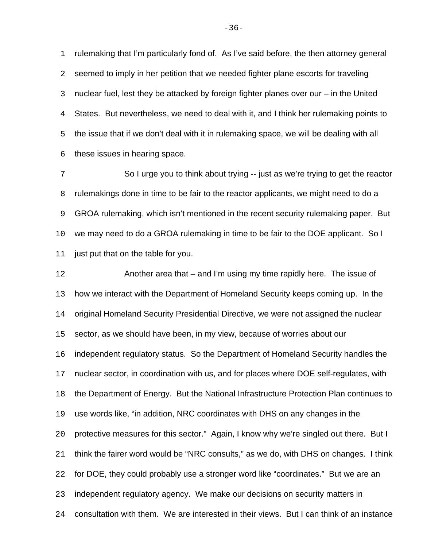rulemaking that I'm particularly fond of. As I've said before, the then attorney general seemed to imply in her petition that we needed fighter plane escorts for traveling nuclear fuel, lest they be attacked by foreign fighter planes over our – in the United States. But nevertheless, we need to deal with it, and I think her rulemaking points to the issue that if we don't deal with it in rulemaking space, we will be dealing with all these issues in hearing space.

 So I urge you to think about trying -- just as we're trying to get the reactor rulemakings done in time to be fair to the reactor applicants, we might need to do a GROA rulemaking, which isn't mentioned in the recent security rulemaking paper. But we may need to do a GROA rulemaking in time to be fair to the DOE applicant. So I just put that on the table for you.

 Another area that – and I'm using my time rapidly here. The issue of how we interact with the Department of Homeland Security keeps coming up. In the original Homeland Security Presidential Directive, we were not assigned the nuclear sector, as we should have been, in my view, because of worries about our independent regulatory status. So the Department of Homeland Security handles the nuclear sector, in coordination with us, and for places where DOE self-regulates, with the Department of Energy. But the National Infrastructure Protection Plan continues to use words like, "in addition, NRC coordinates with DHS on any changes in the protective measures for this sector." Again, I know why we're singled out there. But I think the fairer word would be "NRC consults," as we do, with DHS on changes. I think for DOE, they could probably use a stronger word like "coordinates." But we are an independent regulatory agency. We make our decisions on security matters in consultation with them. We are interested in their views. But I can think of an instance

-36-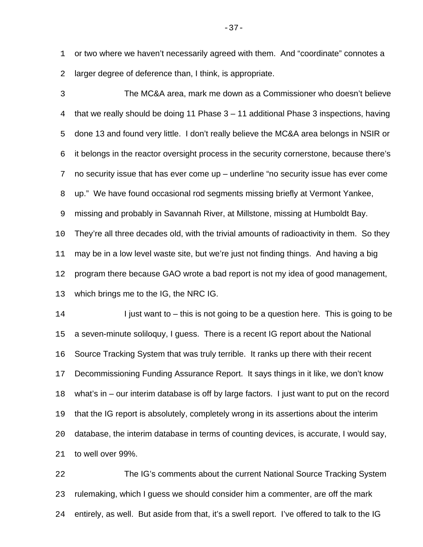or two where we haven't necessarily agreed with them. And "coordinate" connotes a larger degree of deference than, I think, is appropriate.

 The MC&A area, mark me down as a Commissioner who doesn't believe that we really should be doing 11 Phase 3 – 11 additional Phase 3 inspections, having done 13 and found very little. I don't really believe the MC&A area belongs in NSIR or it belongs in the reactor oversight process in the security cornerstone, because there's no security issue that has ever come up – underline "no security issue has ever come up." We have found occasional rod segments missing briefly at Vermont Yankee, missing and probably in Savannah River, at Millstone, missing at Humboldt Bay. They're all three decades old, with the trivial amounts of radioactivity in them. So they may be in a low level waste site, but we're just not finding things. And having a big program there because GAO wrote a bad report is not my idea of good management, which brings me to the IG, the NRC IG. 14 I just want to – this is not going to be a question here. This is going to be a seven-minute soliloquy, I guess. There is a recent IG report about the National Source Tracking System that was truly terrible. It ranks up there with their recent Decommissioning Funding Assurance Report. It says things in it like, we don't know what's in – our interim database is off by large factors. I just want to put on the record that the IG report is absolutely, completely wrong in its assertions about the interim

database, the interim database in terms of counting devices, is accurate, I would say,

to well over 99%.

 The IG's comments about the current National Source Tracking System rulemaking, which I guess we should consider him a commenter, are off the mark entirely, as well. But aside from that, it's a swell report. I've offered to talk to the IG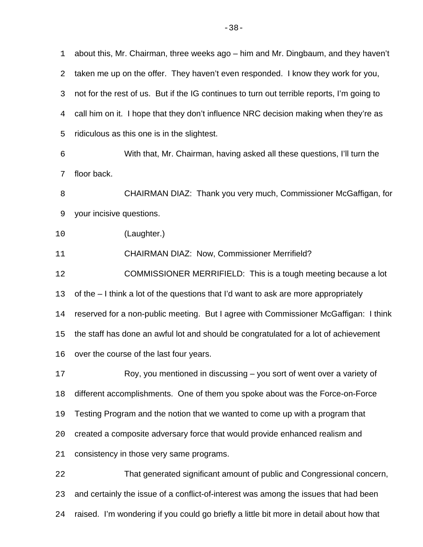about this, Mr. Chairman, three weeks ago – him and Mr. Dingbaum, and they haven't taken me up on the offer. They haven't even responded. I know they work for you, not for the rest of us. But if the IG continues to turn out terrible reports, I'm going to call him on it. I hope that they don't influence NRC decision making when they're as ridiculous as this one is in the slightest. With that, Mr. Chairman, having asked all these questions, I'll turn the floor back. CHAIRMAN DIAZ: Thank you very much, Commissioner McGaffigan, for your incisive questions. (Laughter.) CHAIRMAN DIAZ: Now, Commissioner Merrifield? COMMISSIONER MERRIFIELD: This is a tough meeting because a lot of the – I think a lot of the questions that I'd want to ask are more appropriately reserved for a non-public meeting. But I agree with Commissioner McGaffigan: I think the staff has done an awful lot and should be congratulated for a lot of achievement over the course of the last four years. Roy, you mentioned in discussing – you sort of went over a variety of different accomplishments. One of them you spoke about was the Force-on-Force Testing Program and the notion that we wanted to come up with a program that created a composite adversary force that would provide enhanced realism and consistency in those very same programs. That generated significant amount of public and Congressional concern, and certainly the issue of a conflict-of-interest was among the issues that had been raised. I'm wondering if you could go briefly a little bit more in detail about how that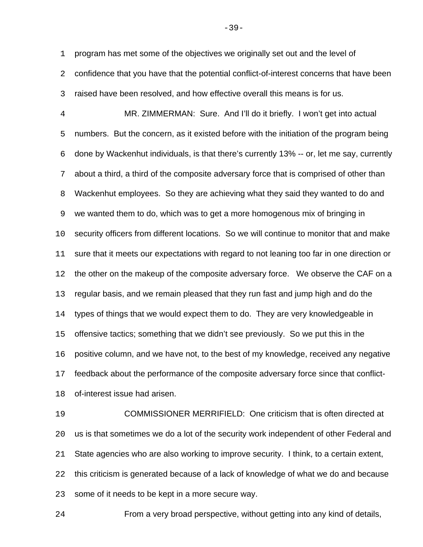program has met some of the objectives we originally set out and the level of

 confidence that you have that the potential conflict-of-interest concerns that have been raised have been resolved, and how effective overall this means is for us.

 MR. ZIMMERMAN: Sure. And I'll do it briefly. I won't get into actual numbers. But the concern, as it existed before with the initiation of the program being done by Wackenhut individuals, is that there's currently 13% -- or, let me say, currently about a third, a third of the composite adversary force that is comprised of other than Wackenhut employees. So they are achieving what they said they wanted to do and we wanted them to do, which was to get a more homogenous mix of bringing in security officers from different locations. So we will continue to monitor that and make sure that it meets our expectations with regard to not leaning too far in one direction or the other on the makeup of the composite adversary force. We observe the CAF on a regular basis, and we remain pleased that they run fast and jump high and do the types of things that we would expect them to do. They are very knowledgeable in offensive tactics; something that we didn't see previously. So we put this in the positive column, and we have not, to the best of my knowledge, received any negative feedback about the performance of the composite adversary force since that conflict-of-interest issue had arisen.

 COMMISSIONER MERRIFIELD: One criticism that is often directed at us is that sometimes we do a lot of the security work independent of other Federal and State agencies who are also working to improve security. I think, to a certain extent, this criticism is generated because of a lack of knowledge of what we do and because some of it needs to be kept in a more secure way.

From a very broad perspective, without getting into any kind of details,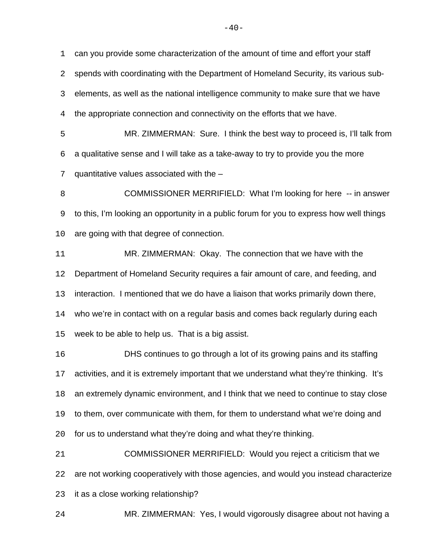can you provide some characterization of the amount of time and effort your staff spends with coordinating with the Department of Homeland Security, its various sub- elements, as well as the national intelligence community to make sure that we have the appropriate connection and connectivity on the efforts that we have.

 MR. ZIMMERMAN: Sure. I think the best way to proceed is, I'll talk from a qualitative sense and I will take as a take-away to try to provide you the more quantitative values associated with the –

**COMMISSIONER MERRIFIELD:** What I'm looking for here -- in answer to this, I'm looking an opportunity in a public forum for you to express how well things are going with that degree of connection.

 MR. ZIMMERMAN: Okay. The connection that we have with the Department of Homeland Security requires a fair amount of care, and feeding, and interaction. I mentioned that we do have a liaison that works primarily down there, who we're in contact with on a regular basis and comes back regularly during each week to be able to help us. That is a big assist.

 DHS continues to go through a lot of its growing pains and its staffing activities, and it is extremely important that we understand what they're thinking. It's an extremely dynamic environment, and I think that we need to continue to stay close to them, over communicate with them, for them to understand what we're doing and for us to understand what they're doing and what they're thinking.

 COMMISSIONER MERRIFIELD: Would you reject a criticism that we are not working cooperatively with those agencies, and would you instead characterize it as a close working relationship?

MR. ZIMMERMAN: Yes, I would vigorously disagree about not having a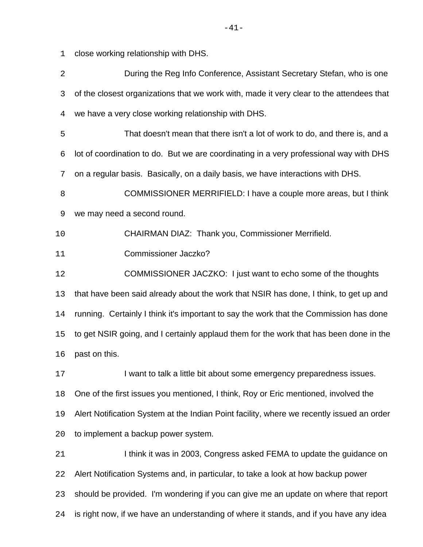close working relationship with DHS.

| $\overline{2}$ | During the Reg Info Conference, Assistant Secretary Stefan, who is one                    |
|----------------|-------------------------------------------------------------------------------------------|
| 3              | of the closest organizations that we work with, made it very clear to the attendees that  |
| 4              | we have a very close working relationship with DHS.                                       |
| 5              | That doesn't mean that there isn't a lot of work to do, and there is, and a               |
| 6              | lot of coordination to do. But we are coordinating in a very professional way with DHS    |
| 7              | on a regular basis. Basically, on a daily basis, we have interactions with DHS.           |
| 8              | COMMISSIONER MERRIFIELD: I have a couple more areas, but I think                          |
| 9              | we may need a second round.                                                               |
| 10             | CHAIRMAN DIAZ: Thank you, Commissioner Merrifield.                                        |
| 11             | <b>Commissioner Jaczko?</b>                                                               |
| 12             | COMMISSIONER JACZKO: I just want to echo some of the thoughts                             |
| 13             | that have been said already about the work that NSIR has done, I think, to get up and     |
| 14             | running. Certainly I think it's important to say the work that the Commission has done    |
| 15             | to get NSIR going, and I certainly applaud them for the work that has been done in the    |
| 16             | past on this.                                                                             |
| 17             | I want to talk a little bit about some emergency preparedness issues.                     |
| 18             | One of the first issues you mentioned, I think, Roy or Eric mentioned, involved the       |
| 19             | Alert Notification System at the Indian Point facility, where we recently issued an order |
| 20             | to implement a backup power system.                                                       |
| 21             | I think it was in 2003, Congress asked FEMA to update the guidance on                     |
| 22             | Alert Notification Systems and, in particular, to take a look at how backup power         |
| 23             | should be provided. I'm wondering if you can give me an update on where that report       |
| 24             | is right now, if we have an understanding of where it stands, and if you have any idea    |
|                |                                                                                           |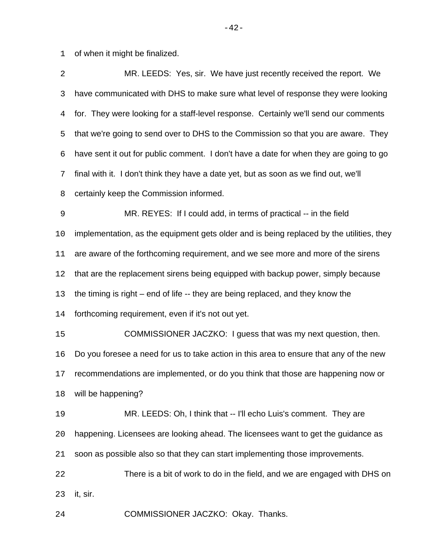of when it might be finalized.

| $\overline{2}$ | MR. LEEDS: Yes, sir. We have just recently received the report. We                       |
|----------------|------------------------------------------------------------------------------------------|
| 3              | have communicated with DHS to make sure what level of response they were looking         |
| 4              | for. They were looking for a staff-level response. Certainly we'll send our comments     |
| 5              | that we're going to send over to DHS to the Commission so that you are aware. They       |
| 6              | have sent it out for public comment. I don't have a date for when they are going to go   |
| 7              | final with it. I don't think they have a date yet, but as soon as we find out, we'll     |
| 8              | certainly keep the Commission informed.                                                  |
| $\mathsf 9$    | MR. REYES: If I could add, in terms of practical -- in the field                         |
| 10             | implementation, as the equipment gets older and is being replaced by the utilities, they |
| 11             | are aware of the forthcoming requirement, and we see more and more of the sirens         |
| 12             | that are the replacement sirens being equipped with backup power, simply because         |
| 13             | the timing is right – end of life -- they are being replaced, and they know the          |
| 14             | forthcoming requirement, even if it's not out yet.                                       |
| 15             | COMMISSIONER JACZKO: I guess that was my next question, then.                            |
| 16             | Do you foresee a need for us to take action in this area to ensure that any of the new   |
| 17             | recommendations are implemented, or do you think that those are happening now or         |
| 18             | will be happening?                                                                       |
| 19             | MR. LEEDS: Oh, I think that -- I'll echo Luis's comment. They are                        |
| 20             | happening. Licensees are looking ahead. The licensees want to get the guidance as        |
| 21             | soon as possible also so that they can start implementing those improvements.            |
| 22             | There is a bit of work to do in the field, and we are engaged with DHS on                |
| 23             | it, sir.                                                                                 |
| 24             | COMMISSIONER JACZKO: Okay. Thanks.                                                       |

-42-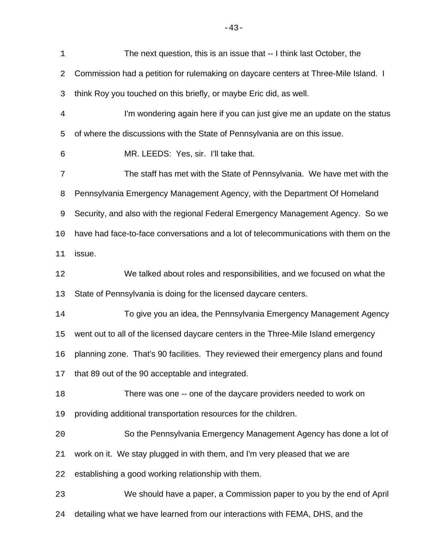| $\mathbf 1$ | The next question, this is an issue that -- I think last October, the                |
|-------------|--------------------------------------------------------------------------------------|
| 2           | Commission had a petition for rulemaking on daycare centers at Three-Mile Island. I  |
| 3           | think Roy you touched on this briefly, or maybe Eric did, as well.                   |
| 4           | I'm wondering again here if you can just give me an update on the status             |
| 5           | of where the discussions with the State of Pennsylvania are on this issue.           |
| 6           | MR. LEEDS: Yes, sir. I'll take that.                                                 |
| 7           | The staff has met with the State of Pennsylvania. We have met with the               |
| 8           | Pennsylvania Emergency Management Agency, with the Department Of Homeland            |
| 9           | Security, and also with the regional Federal Emergency Management Agency. So we      |
| 10          | have had face-to-face conversations and a lot of telecommunications with them on the |
| 11          | issue.                                                                               |
| 12          | We talked about roles and responsibilities, and we focused on what the               |
| 13          | State of Pennsylvania is doing for the licensed daycare centers.                     |
| 14          | To give you an idea, the Pennsylvania Emergency Management Agency                    |
| 15          | went out to all of the licensed daycare centers in the Three-Mile Island emergency   |
| 16          | planning zone. That's 90 facilities. They reviewed their emergency plans and found   |
| 17          | that 89 out of the 90 acceptable and integrated.                                     |
| 18          | There was one -- one of the daycare providers needed to work on                      |
| 19          | providing additional transportation resources for the children.                      |
| 20          | So the Pennsylvania Emergency Management Agency has done a lot of                    |
| 21          | work on it. We stay plugged in with them, and I'm very pleased that we are           |
| 22          | establishing a good working relationship with them.                                  |
| 23          | We should have a paper, a Commission paper to you by the end of April                |
| 24          | detailing what we have learned from our interactions with FEMA, DHS, and the         |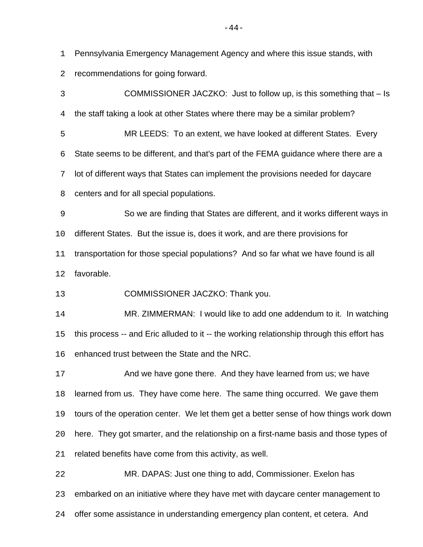Pennsylvania Emergency Management Agency and where this issue stands, with

recommendations for going forward.

 COMMISSIONER JACZKO: Just to follow up, is this something that – Is the staff taking a look at other States where there may be a similar problem? MR LEEDS: To an extent, we have looked at different States. Every State seems to be different, and that's part of the FEMA guidance where there are a lot of different ways that States can implement the provisions needed for daycare centers and for all special populations. So we are finding that States are different, and it works different ways in different States. But the issue is, does it work, and are there provisions for transportation for those special populations? And so far what we have found is all favorable. COMMISSIONER JACZKO: Thank you. MR. ZIMMERMAN: I would like to add one addendum to it. In watching this process -- and Eric alluded to it -- the working relationship through this effort has enhanced trust between the State and the NRC. And we have gone there. And they have learned from us; we have learned from us. They have come here. The same thing occurred. We gave them tours of the operation center. We let them get a better sense of how things work down here. They got smarter, and the relationship on a first-name basis and those types of related benefits have come from this activity, as well. MR. DAPAS: Just one thing to add, Commissioner. Exelon has embarked on an initiative where they have met with daycare center management to offer some assistance in understanding emergency plan content, et cetera. And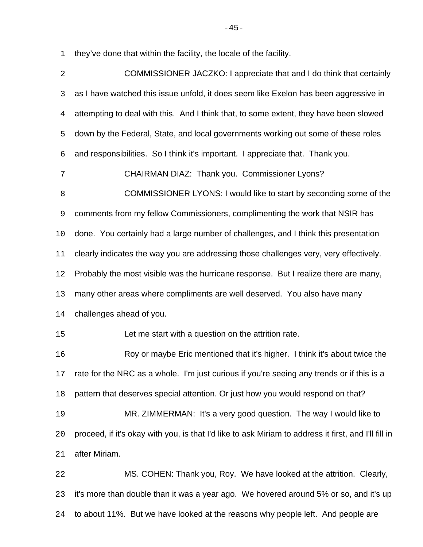they've done that within the facility, the locale of the facility.

| 2          | COMMISSIONER JACZKO: I appreciate that and I do think that certainly                                 |
|------------|------------------------------------------------------------------------------------------------------|
| 3          | as I have watched this issue unfold, it does seem like Exelon has been aggressive in                 |
| 4          | attempting to deal with this. And I think that, to some extent, they have been slowed                |
| 5          | down by the Federal, State, and local governments working out some of these roles                    |
| $\epsilon$ | and responsibilities. So I think it's important. I appreciate that. Thank you.                       |
| 7          | CHAIRMAN DIAZ: Thank you. Commissioner Lyons?                                                        |
| 8          | COMMISSIONER LYONS: I would like to start by seconding some of the                                   |
| 9          | comments from my fellow Commissioners, complimenting the work that NSIR has                          |
| 10         | done. You certainly had a large number of challenges, and I think this presentation                  |
| 11         | clearly indicates the way you are addressing those challenges very, very effectively.                |
| 12         | Probably the most visible was the hurricane response. But I realize there are many,                  |
| 13         | many other areas where compliments are well deserved. You also have many                             |
| 14         | challenges ahead of you.                                                                             |
| 15         | Let me start with a question on the attrition rate.                                                  |
| 16         | Roy or maybe Eric mentioned that it's higher. I think it's about twice the                           |
| 17         | rate for the NRC as a whole. I'm just curious if you're seeing any trends or if this is a            |
| 18         | pattern that deserves special attention. Or just how you would respond on that?                      |
| 19         | MR. ZIMMERMAN: It's a very good question. The way I would like to                                    |
| 20         | proceed, if it's okay with you, is that I'd like to ask Miriam to address it first, and I'll fill in |
| 21         | after Miriam.                                                                                        |
| 22         | MS. COHEN: Thank you, Roy. We have looked at the attrition. Clearly,                                 |
| 23         | it's more than double than it was a year ago. We hovered around 5% or so, and it's up                |
| 24         | to about 11%. But we have looked at the reasons why people left. And people are                      |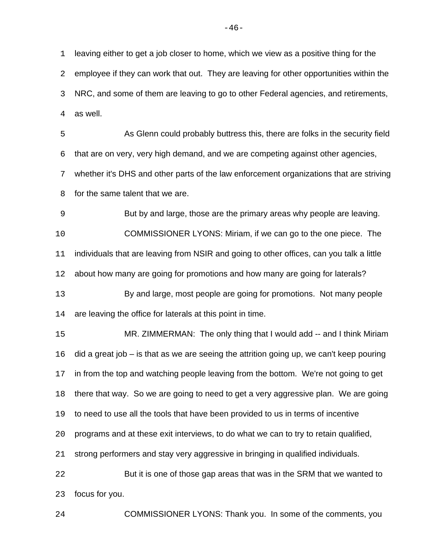leaving either to get a job closer to home, which we view as a positive thing for the employee if they can work that out. They are leaving for other opportunities within the NRC, and some of them are leaving to go to other Federal agencies, and retirements, as well.

 As Glenn could probably buttress this, there are folks in the security field that are on very, very high demand, and we are competing against other agencies, whether it's DHS and other parts of the law enforcement organizations that are striving

for the same talent that we are.

But by and large, those are the primary areas why people are leaving.

 COMMISSIONER LYONS: Miriam, if we can go to the one piece. The individuals that are leaving from NSIR and going to other offices, can you talk a little about how many are going for promotions and how many are going for laterals?

 By and large, most people are going for promotions. Not many people 14 are leaving the office for laterals at this point in time.

 MR. ZIMMERMAN: The only thing that I would add -- and I think Miriam did a great job – is that as we are seeing the attrition going up, we can't keep pouring in from the top and watching people leaving from the bottom. We're not going to get there that way. So we are going to need to get a very aggressive plan. We are going to need to use all the tools that have been provided to us in terms of incentive programs and at these exit interviews, to do what we can to try to retain qualified, strong performers and stay very aggressive in bringing in qualified individuals. But it is one of those gap areas that was in the SRM that we wanted to focus for you.

COMMISSIONER LYONS: Thank you. In some of the comments, you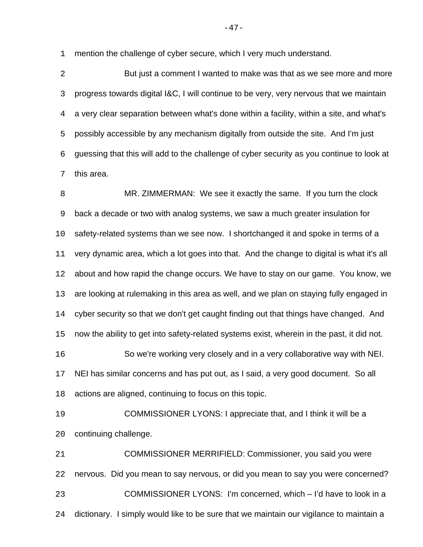mention the challenge of cyber secure, which I very much understand.

 But just a comment I wanted to make was that as we see more and more progress towards digital I&C, I will continue to be very, very nervous that we maintain a very clear separation between what's done within a facility, within a site, and what's possibly accessible by any mechanism digitally from outside the site. And I'm just guessing that this will add to the challenge of cyber security as you continue to look at this area.

 MR. ZIMMERMAN: We see it exactly the same. If you turn the clock back a decade or two with analog systems, we saw a much greater insulation for safety-related systems than we see now. I shortchanged it and spoke in terms of a very dynamic area, which a lot goes into that. And the change to digital is what it's all about and how rapid the change occurs. We have to stay on our game. You know, we are looking at rulemaking in this area as well, and we plan on staying fully engaged in cyber security so that we don't get caught finding out that things have changed. And now the ability to get into safety-related systems exist, wherein in the past, it did not. So we're working very closely and in a very collaborative way with NEI. NEI has similar concerns and has put out, as I said, a very good document. So all actions are aligned, continuing to focus on this topic. COMMISSIONER LYONS: I appreciate that, and I think it will be a continuing challenge. COMMISSIONER MERRIFIELD: Commissioner, you said you were

nervous. Did you mean to say nervous, or did you mean to say you were concerned?

COMMISSIONER LYONS: I'm concerned, which – I'd have to look in a

dictionary. I simply would like to be sure that we maintain our vigilance to maintain a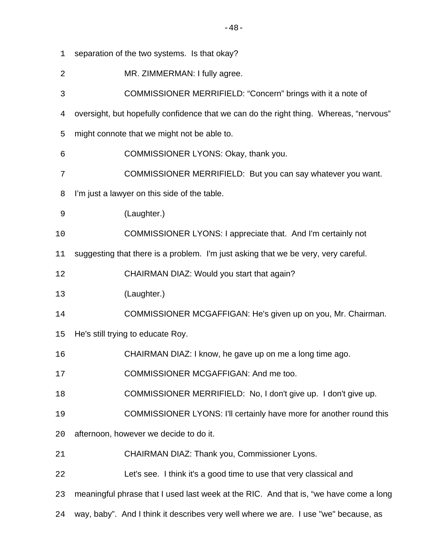- MR. ZIMMERMAN: I fully agree. COMMISSIONER MERRIFIELD: "Concern" brings with it a note of oversight, but hopefully confidence that we can do the right thing. Whereas, "nervous" might connote that we might not be able to. COMMISSIONER LYONS: Okay, thank you. COMMISSIONER MERRIFIELD: But you can say whatever you want. I'm just a lawyer on this side of the table. (Laughter.)
- COMMISSIONER LYONS: I appreciate that. And I'm certainly not
- suggesting that there is a problem. I'm just asking that we be very, very careful.

CHAIRMAN DIAZ: Would you start that again?

separation of the two systems. Is that okay?

- (Laughter.)
- COMMISSIONER MCGAFFIGAN: He's given up on you, Mr. Chairman.
- He's still trying to educate Roy.
- CHAIRMAN DIAZ: I know, he gave up on me a long time ago.
- COMMISSIONER MCGAFFIGAN: And me too.
- COMMISSIONER MERRIFIELD: No, I don't give up. I don't give up.
- COMMISSIONER LYONS: I'll certainly have more for another round this
- afternoon, however we decide to do it.
- CHAIRMAN DIAZ: Thank you, Commissioner Lyons.
- Let's see. I think it's a good time to use that very classical and
- meaningful phrase that I used last week at the RIC. And that is, "we have come a long
- way, baby". And I think it describes very well where we are. I use "we" because, as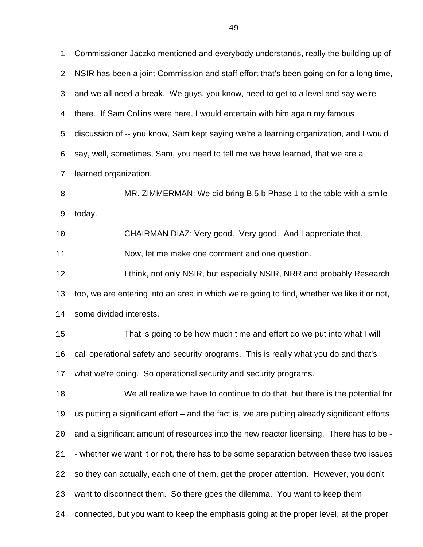Commissioner Jaczko mentioned and everybody understands, really the building up of NSIR has been a joint Commission and staff effort that's been going on for a long time, and we all need a break. We guys, you know, need to get to a level and say we're there. If Sam Collins were here, I would entertain with him again my famous discussion of -- you know, Sam kept saying we're a learning organization, and I would say, well, sometimes, Sam, you need to tell me we have learned, that we are a learned organization. MR. ZIMMERMAN: We did bring B.5.b Phase 1 to the table with a smile today. CHAIRMAN DIAZ: Very good. Very good. And I appreciate that. Now, let me make one comment and one question. **I think, not only NSIR, but especially NSIR, NRR and probably Research**  too, we are entering into an area in which we're going to find, whether we like it or not, some divided interests. That is going to be how much time and effort do we put into what I will call operational safety and security programs. This is really what you do and that's what we're doing. So operational security and security programs. We all realize we have to continue to do that, but there is the potential for us putting a significant effort – and the fact is, we are putting already significant efforts and a significant amount of resources into the new reactor licensing. There has to be - - whether we want it or not, there has to be some separation between these two issues so they can actually, each one of them, get the proper attention. However, you don't want to disconnect them. So there goes the dilemma. You want to keep them connected, but you want to keep the emphasis going at the proper level, at the proper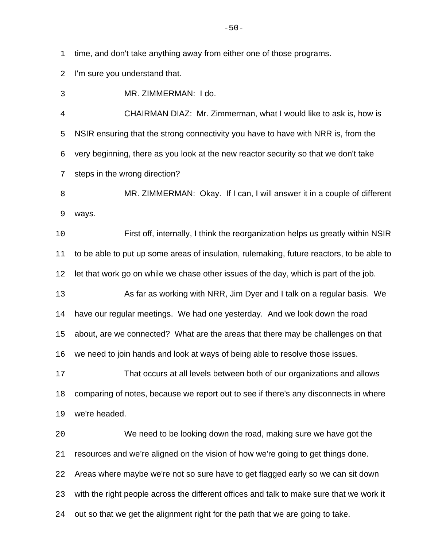time, and don't take anything away from either one of those programs.

I'm sure you understand that.

MR. ZIMMERMAN: I do.

 CHAIRMAN DIAZ: Mr. Zimmerman, what I would like to ask is, how is NSIR ensuring that the strong connectivity you have to have with NRR is, from the very beginning, there as you look at the new reactor security so that we don't take steps in the wrong direction?

 MR. ZIMMERMAN: Okay. If I can, I will answer it in a couple of different ways.

 First off, internally, I think the reorganization helps us greatly within NSIR to be able to put up some areas of insulation, rulemaking, future reactors, to be able to let that work go on while we chase other issues of the day, which is part of the job.

 As far as working with NRR, Jim Dyer and I talk on a regular basis. We have our regular meetings. We had one yesterday. And we look down the road about, are we connected? What are the areas that there may be challenges on that we need to join hands and look at ways of being able to resolve those issues.

 That occurs at all levels between both of our organizations and allows comparing of notes, because we report out to see if there's any disconnects in where we're headed.

 We need to be looking down the road, making sure we have got the resources and we're aligned on the vision of how we're going to get things done. Areas where maybe we're not so sure have to get flagged early so we can sit down with the right people across the different offices and talk to make sure that we work it out so that we get the alignment right for the path that we are going to take.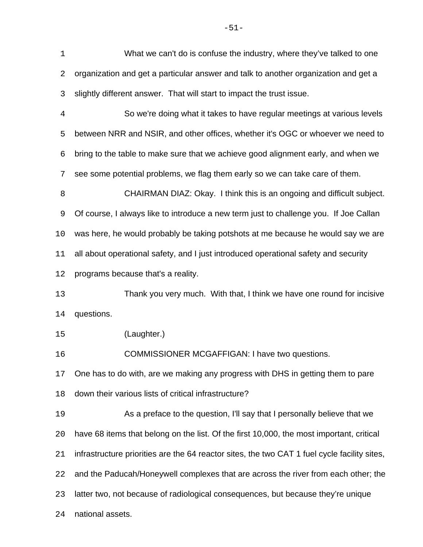What we can't do is confuse the industry, where they've talked to one organization and get a particular answer and talk to another organization and get a slightly different answer. That will start to impact the trust issue. So we're doing what it takes to have regular meetings at various levels between NRR and NSIR, and other offices, whether it's OGC or whoever we need to bring to the table to make sure that we achieve good alignment early, and when we see some potential problems, we flag them early so we can take care of them. CHAIRMAN DIAZ: Okay. I think this is an ongoing and difficult subject. Of course, I always like to introduce a new term just to challenge you. If Joe Callan was here, he would probably be taking potshots at me because he would say we are all about operational safety, and I just introduced operational safety and security programs because that's a reality. Thank you very much. With that, I think we have one round for incisive questions. (Laughter.) COMMISSIONER MCGAFFIGAN: I have two questions. One has to do with, are we making any progress with DHS in getting them to pare down their various lists of critical infrastructure? As a preface to the question, I'll say that I personally believe that we have 68 items that belong on the list. Of the first 10,000, the most important, critical infrastructure priorities are the 64 reactor sites, the two CAT 1 fuel cycle facility sites, and the Paducah/Honeywell complexes that are across the river from each other; the latter two, not because of radiological consequences, but because they're unique national assets.

-51-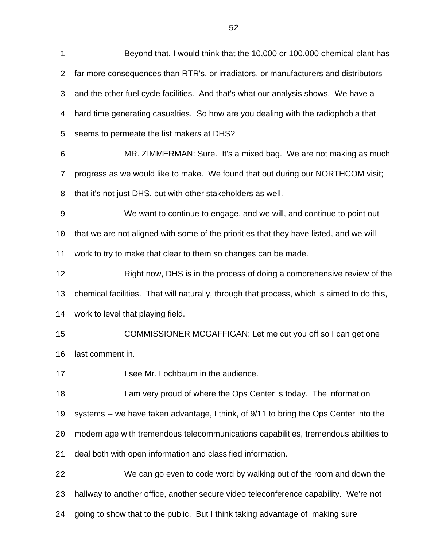Beyond that, I would think that the 10,000 or 100,000 chemical plant has far more consequences than RTR's, or irradiators, or manufacturers and distributors and the other fuel cycle facilities. And that's what our analysis shows. We have a hard time generating casualties. So how are you dealing with the radiophobia that seems to permeate the list makers at DHS? MR. ZIMMERMAN: Sure. It's a mixed bag. We are not making as much progress as we would like to make. We found that out during our NORTHCOM visit; that it's not just DHS, but with other stakeholders as well. We want to continue to engage, and we will, and continue to point out that we are not aligned with some of the priorities that they have listed, and we will work to try to make that clear to them so changes can be made. Right now, DHS is in the process of doing a comprehensive review of the chemical facilities. That will naturally, through that process, which is aimed to do this, work to level that playing field. COMMISSIONER MCGAFFIGAN: Let me cut you off so I can get one last comment in. **I see Mr. Lochbaum in the audience.** 18 I am very proud of where the Ops Center is today. The information systems -- we have taken advantage, I think, of 9/11 to bring the Ops Center into the modern age with tremendous telecommunications capabilities, tremendous abilities to deal both with open information and classified information. We can go even to code word by walking out of the room and down the hallway to another office, another secure video teleconference capability. We're not going to show that to the public. But I think taking advantage of making sure

-52-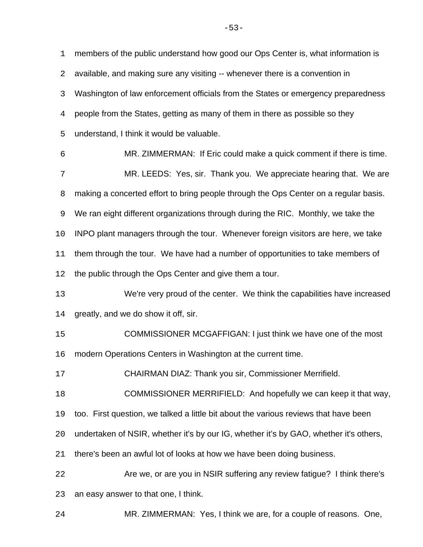members of the public understand how good our Ops Center is, what information is available, and making sure any visiting -- whenever there is a convention in Washington of law enforcement officials from the States or emergency preparedness people from the States, getting as many of them in there as possible so they understand, I think it would be valuable. MR. ZIMMERMAN: If Eric could make a quick comment if there is time. MR. LEEDS: Yes, sir. Thank you. We appreciate hearing that. We are

8 making a concerted effort to bring people through the Ops Center on a regular basis.

We ran eight different organizations through during the RIC. Monthly, we take the

INPO plant managers through the tour. Whenever foreign visitors are here, we take

11 them through the tour. We have had a number of opportunities to take members of

the public through the Ops Center and give them a tour.

 We're very proud of the center. We think the capabilities have increased greatly, and we do show it off, sir.

COMMISSIONER MCGAFFIGAN: I just think we have one of the most

modern Operations Centers in Washington at the current time.

CHAIRMAN DIAZ: Thank you sir, Commissioner Merrifield.

COMMISSIONER MERRIFIELD: And hopefully we can keep it that way,

too. First question, we talked a little bit about the various reviews that have been

undertaken of NSIR, whether it's by our IG, whether it's by GAO, whether it's others,

there's been an awful lot of looks at how we have been doing business.

Are we, or are you in NSIR suffering any review fatigue? I think there's

an easy answer to that one, I think.

MR. ZIMMERMAN: Yes, I think we are, for a couple of reasons. One,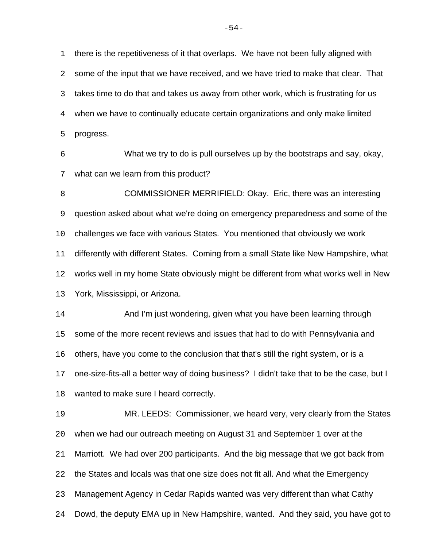there is the repetitiveness of it that overlaps. We have not been fully aligned with some of the input that we have received, and we have tried to make that clear. That takes time to do that and takes us away from other work, which is frustrating for us when we have to continually educate certain organizations and only make limited progress.

 What we try to do is pull ourselves up by the bootstraps and say, okay, what can we learn from this product?

**COMMISSIONER MERRIFIELD: Okay. Eric, there was an interesting**  question asked about what we're doing on emergency preparedness and some of the challenges we face with various States. You mentioned that obviously we work differently with different States. Coming from a small State like New Hampshire, what works well in my home State obviously might be different from what works well in New York, Mississippi, or Arizona.

 And I'm just wondering, given what you have been learning through some of the more recent reviews and issues that had to do with Pennsylvania and others, have you come to the conclusion that that's still the right system, or is a one-size-fits-all a better way of doing business? I didn't take that to be the case, but I wanted to make sure I heard correctly.

 MR. LEEDS: Commissioner, we heard very, very clearly from the States when we had our outreach meeting on August 31 and September 1 over at the Marriott. We had over 200 participants. And the big message that we got back from the States and locals was that one size does not fit all. And what the Emergency Management Agency in Cedar Rapids wanted was very different than what Cathy Dowd, the deputy EMA up in New Hampshire, wanted. And they said, you have got to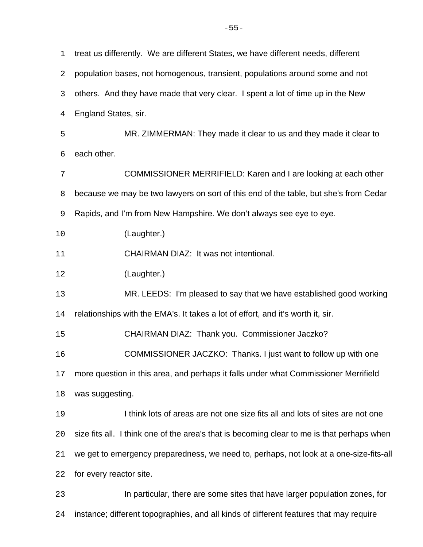treat us differently. We are different States, we have different needs, different population bases, not homogenous, transient, populations around some and not others. And they have made that very clear. I spent a lot of time up in the New England States, sir. MR. ZIMMERMAN: They made it clear to us and they made it clear to each other. COMMISSIONER MERRIFIELD: Karen and I are looking at each other because we may be two lawyers on sort of this end of the table, but she's from Cedar Rapids, and I'm from New Hampshire. We don't always see eye to eye. (Laughter.) CHAIRMAN DIAZ: It was not intentional. (Laughter.) MR. LEEDS: I'm pleased to say that we have established good working relationships with the EMA's. It takes a lot of effort, and it's worth it, sir. CHAIRMAN DIAZ: Thank you. Commissioner Jaczko? COMMISSIONER JACZKO: Thanks. I just want to follow up with one more question in this area, and perhaps it falls under what Commissioner Merrifield was suggesting. I think lots of areas are not one size fits all and lots of sites are not one size fits all. I think one of the area's that is becoming clear to me is that perhaps when we get to emergency preparedness, we need to, perhaps, not look at a one-size-fits-all for every reactor site. In particular, there are some sites that have larger population zones, for instance; different topographies, and all kinds of different features that may require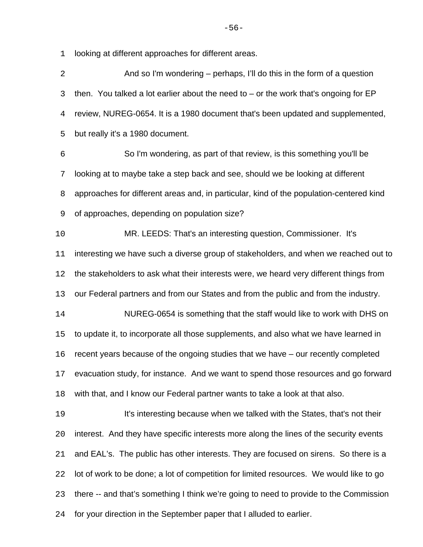looking at different approaches for different areas.

| $\overline{2}$ | And so I'm wondering – perhaps, I'll do this in the form of a question                  |
|----------------|-----------------------------------------------------------------------------------------|
| 3              | then. You talked a lot earlier about the need to $-$ or the work that's ongoing for EP  |
| 4              | review, NUREG-0654. It is a 1980 document that's been updated and supplemented,         |
| 5              | but really it's a 1980 document.                                                        |
| $\epsilon$     | So I'm wondering, as part of that review, is this something you'll be                   |
| 7              | looking at to maybe take a step back and see, should we be looking at different         |
| 8              | approaches for different areas and, in particular, kind of the population-centered kind |
| 9              | of approaches, depending on population size?                                            |
| 10             | MR. LEEDS: That's an interesting question, Commissioner. It's                           |
| 11             | interesting we have such a diverse group of stakeholders, and when we reached out to    |
| 12             | the stakeholders to ask what their interests were, we heard very different things from  |
| 13             | our Federal partners and from our States and from the public and from the industry.     |
| 14             | NUREG-0654 is something that the staff would like to work with DHS on                   |
| 15             | to update it, to incorporate all those supplements, and also what we have learned in    |
| 16             | recent years because of the ongoing studies that we have - our recently completed       |
| 17             | evacuation study, for instance. And we want to spend those resources and go forward     |
| 18             | with that, and I know our Federal partner wants to take a look at that also.            |
| 19             | It's interesting because when we talked with the States, that's not their               |
| 20             | interest. And they have specific interests more along the lines of the security events  |
| 21             | and EAL's. The public has other interests. They are focused on sirens. So there is a    |
| 22             | lot of work to be done; a lot of competition for limited resources. We would like to go |
| 23             | there -- and that's something I think we're going to need to provide to the Commission  |
| 24             | for your direction in the September paper that I alluded to earlier.                    |
|                |                                                                                         |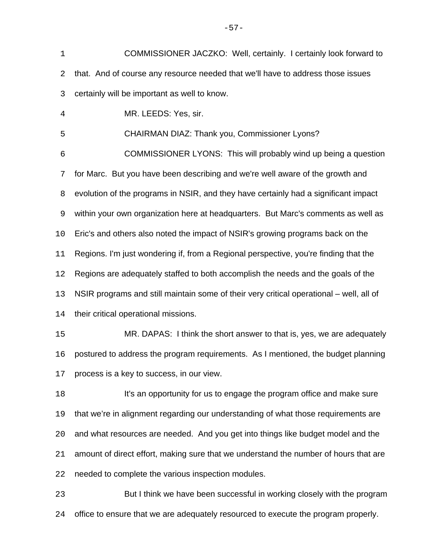COMMISSIONER JACZKO: Well, certainly. I certainly look forward to that. And of course any resource needed that we'll have to address those issues certainly will be important as well to know.

MR. LEEDS: Yes, sir.

CHAIRMAN DIAZ: Thank you, Commissioner Lyons?

 COMMISSIONER LYONS: This will probably wind up being a question for Marc. But you have been describing and we're well aware of the growth and evolution of the programs in NSIR, and they have certainly had a significant impact within your own organization here at headquarters. But Marc's comments as well as Eric's and others also noted the impact of NSIR's growing programs back on the Regions. I'm just wondering if, from a Regional perspective, you're finding that the Regions are adequately staffed to both accomplish the needs and the goals of the NSIR programs and still maintain some of their very critical operational – well, all of their critical operational missions.

 MR. DAPAS: I think the short answer to that is, yes, we are adequately postured to address the program requirements. As I mentioned, the budget planning process is a key to success, in our view.

 It's an opportunity for us to engage the program office and make sure that we're in alignment regarding our understanding of what those requirements are and what resources are needed. And you get into things like budget model and the amount of direct effort, making sure that we understand the number of hours that are needed to complete the various inspection modules.

 But I think we have been successful in working closely with the program office to ensure that we are adequately resourced to execute the program properly.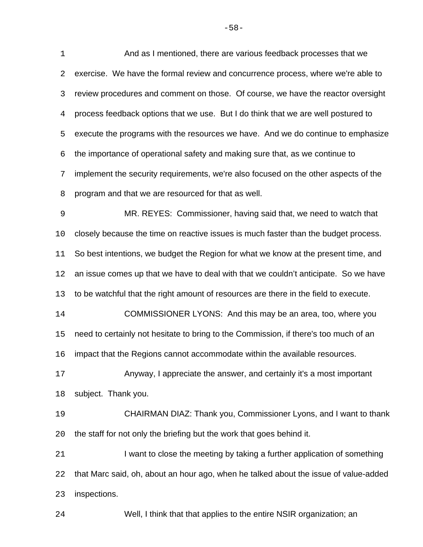And as I mentioned, there are various feedback processes that we exercise. We have the formal review and concurrence process, where we're able to review procedures and comment on those. Of course, we have the reactor oversight process feedback options that we use. But I do think that we are well postured to execute the programs with the resources we have. And we do continue to emphasize the importance of operational safety and making sure that, as we continue to implement the security requirements, we're also focused on the other aspects of the program and that we are resourced for that as well. MR. REYES: Commissioner, having said that, we need to watch that closely because the time on reactive issues is much faster than the budget process. So best intentions, we budget the Region for what we know at the present time, and an issue comes up that we have to deal with that we couldn't anticipate. So we have to be watchful that the right amount of resources are there in the field to execute. COMMISSIONER LYONS: And this may be an area, too, where you need to certainly not hesitate to bring to the Commission, if there's too much of an impact that the Regions cannot accommodate within the available resources. Anyway, I appreciate the answer, and certainly it's a most important subject. Thank you. CHAIRMAN DIAZ: Thank you, Commissioner Lyons, and I want to thank the staff for not only the briefing but the work that goes behind it. 21 I want to close the meeting by taking a further application of something that Marc said, oh, about an hour ago, when he talked about the issue of value-added inspections.

Well, I think that that applies to the entire NSIR organization; an

-58-